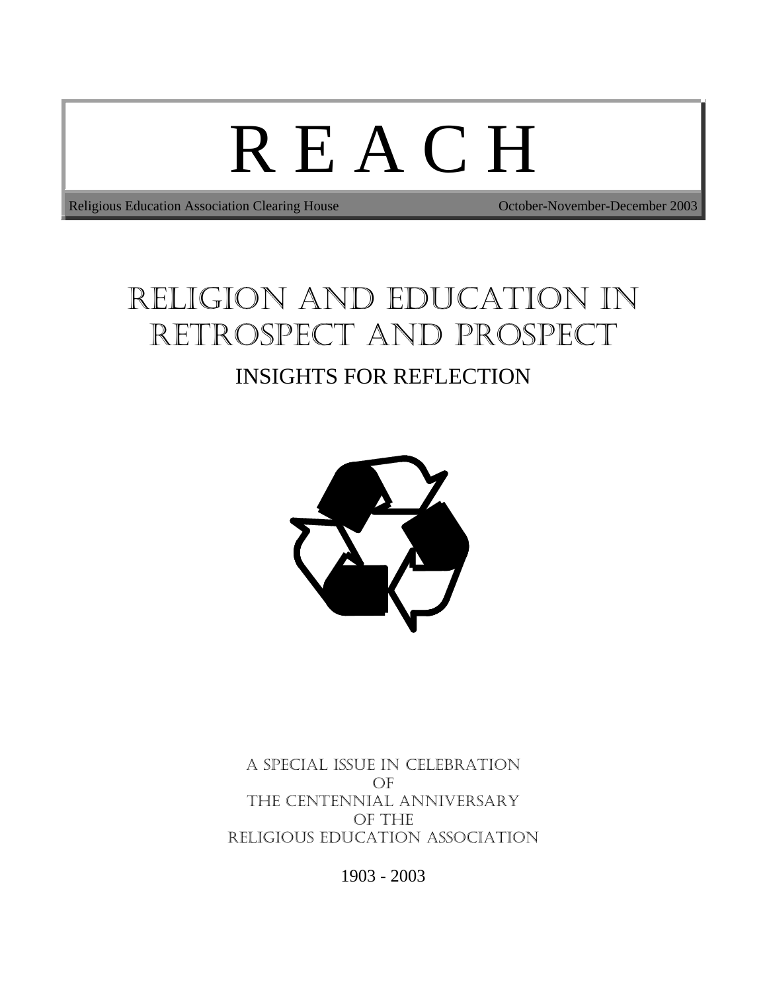# R E A C H

Religious Education Association Clearing House **Calculation Clearing House** Cocober-November-December 2003

## RELIGION AND EDUCATION IN RETROSPECT AND PROSPECT INSIGHTS FOR REFLECTION



A SPECIAL ISSUE IN CELEBRATION OF THE CENTENNIAL ANNIVERSARY OF THE RELIGIOUS EDUCATION ASSOCIATION

1903 - 2003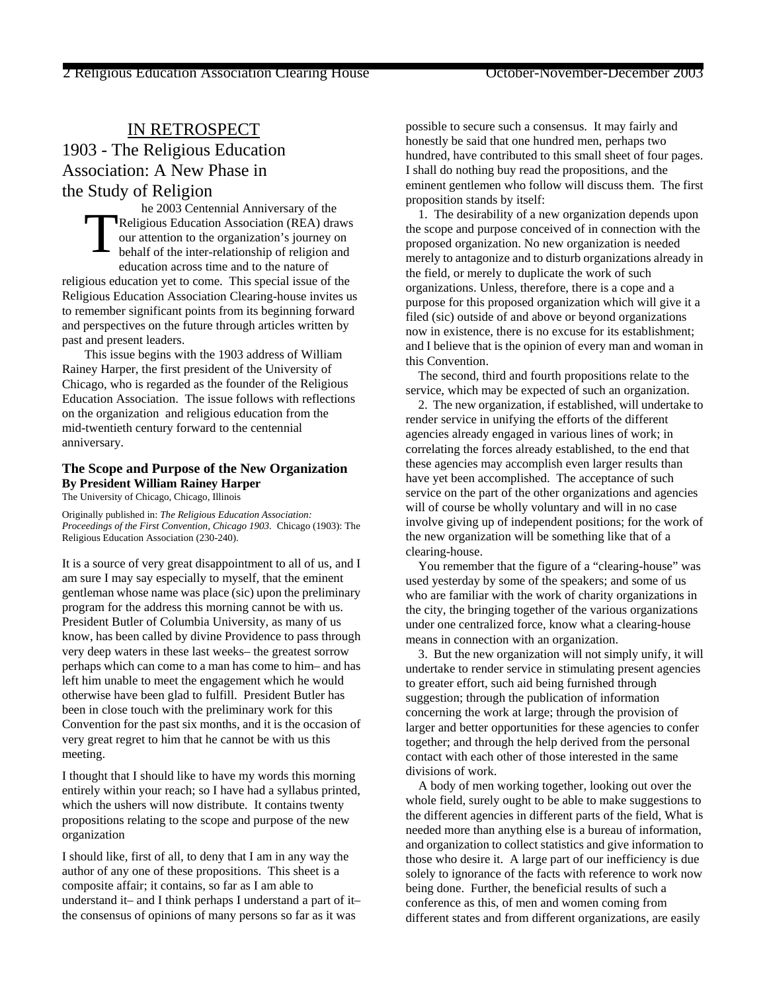## IN RETROSPECT

## 1903 - The Religious Education Association: A New Phase in the Study of Religion

our attention to the organization's journey on relig ious education yet to come. This special issue of the Reli gious Education Association Clearing-house invites us to remember significant points from its beginning forward he 2003 Centennial Anniversary of the religious Education Association (REA) draws<br>our attention to the organization's journey on<br>behalf of the inter-relationship of religion and education across time and to the nature of

and perspectives on the future through articles written by past and present leaders. This issue begins with the 1903 address of William

Chicago, who is regarded as the founder of the Religious Education Association. The issue follows with reflections Rainey Harper, the first president of the University of on the organization and religious education from the mid-twentieth century forward to the centennial anniversary.

## **The Scope and Purpose of the New Organization By President William Rainey Harper**

The University of Chicago, Chicago, Illinois

Proceedings of the First Convention, Chicago 1903. Chicago (1903): The Religious Education Association (230-240).

am sure I may say especially to myself, that the eminent gentleman whose name was place (sic) upon the preliminary perhaps which can come to a man has come to him- and has Convention for the past six months, and it is the occasion of It is a source of very great disappointment to all of us, and I program for the address this morning cannot be with us. President Butler of Columbia University, as many of us know, has been called by divine Providence to pass through very deep waters in these last weeks– the greatest sorrow left him unable to meet the engagement which he would otherwise have been glad to fulfill. President Butler has been in close touch with the preliminary work for this very great regret to him that he cannot be with us this meeting.

which the ushers will now distribute. It contains twenty I thought that I should like to have my words this morning entirely within your reach; so I have had a syllabus printed, propositions relating to the scope and purpose of the new organization

composite affair; it contains, so far as I am able to understand it– and I think perhaps I understand a part of it– the consensus of opinions of many persons so far as it was I should like, first of all, to deny that I am in any way the author of any one of these propositions. This sheet is a

possible to secure such a consensus. It may fairly and honestly be said that one hundred men, perhaps two hundred, have contributed to this small sheet of four pages. eminent gentlemen who follow will discuss them. The first I shall do nothing buy read the propositions, and the proposition stands by itself:

merely to antagonize and to disturb organizations already in 1. The desirability of a new organization depends upon the scope and purpose conceived of in connection with the proposed organization. No new organization is needed the field, or merely to duplicate the work of such organizations. Unless, therefore, there is a cope and a purpose for this proposed organization which will give it a filed (sic) outside of and above or beyond organizations now in existence, there is no excuse for its establishment; and I believe that is the opinion of every man and woman in this Convention.

 The second, third and fourth propositions relate to the service, which may be expected of such an organization.

2. The new organization, if established, will undertake to render service in unifying the efforts of the different agencies already engaged in various lines of work; in correlating the forces already established, to the end that these agencies may accomplish even larger results than have yet been accomplished. The acceptance of such service on the part of the other organizations and agencies will of course be wholly voluntary and will in no case Originally published in: *The Religious Education Association*: **involve giving up of independent positions;** for the work of *Proceedings of the First Convention Chicago 1903*. Chicago (1903): The *involve giving up of in* the new organization will be something like that of a clearing-house.

> You remember that the figure of a "clearing-house" was used yesterday by some of the speakers; and some of us who are familiar with the work of charity organizations in the city, the bringing together of the various organizations under one centralized force, know what a clearing-house means in connection with an organization.

> undertake to render service in stimulating present agencies 3. But the new organization will not simply unify, it will to greater effort, such aid being furnished through suggestion; through the publication of information concerning the work at large; through the provision of larger and better opportunities for these agencies to confer together; and through the help derived from the personal contact with each other of those interested in the same divisions of work.

> the different agencies in different parts of the field, What is needed more than anything else is a bureau of information, being done. Further, the beneficial results of such a conference as this, of men and women coming from different states and from different organizations, are easily A body of men working together, looking out over the whole field, surely ought to be able to make suggestions to and organization to collect statistics and give information to those who desire it. A large part of our inefficiency is due solely to ignorance of the facts with reference to work now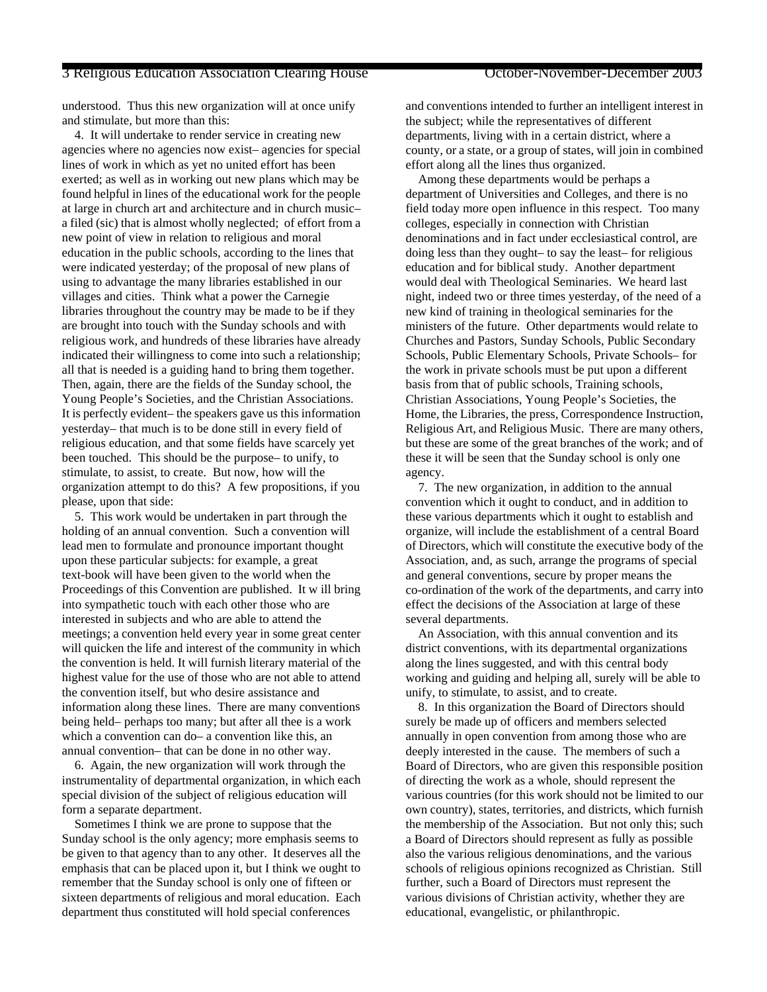understood. Thus this new organization will at once un ify and stimulate, but m ore than this:

education in the public schools, according to the lines that villages and cities. Think what a power the Carnegie religious work, and hundreds of these libraries have already It is perfectly evident– the speakers gave us this information 4. It will undertake to render service in creating new agencies where no agencies now exist– agencies for special lines of work in which as yet no united effort has been exerted; as well as in working out new plans which may be found helpful in lines of the educational work for the people at large in church art and architecture and in church music– a filed (sic) that is almost wholly neglected; of effort from a new point of view in relation to religious and moral were indicated yesterday; of the proposal of new plans of using to advantage the many libraries established in our libraries throughout the country may be made to be if they are brought into touch with the Sunday schools and with indicated their willingness to come into such a relationship; all that is needed is a guiding hand to bring them together. Then, again, there are the fields of the Sunday school, the Young People's Societies, and the Christian Associations. yesterday– that much is to be done still in every field of religious education, and that some fields have scarcely yet been touched. This should be the purpose– to unify, to stimulate, to assist, to create. But now, how will the organization attempt to do this? A few propositions, if you please, upon that side:

meetings; a convention held every year in some great center will quicken the life and interest of the community in which highest value for the use of those who are not able to attend information along these lines. There are many conventions which a convention can do- a convention like this, an 5. This work would be undertaken in part through the holding of an annual convention. Such a convention will lead men to formulate and pronounce important thought upon these particular subjects: for example, a great text-book will have been given to the world when the Proceedings of this Convention are published. It w ill bring into sympathetic touch with each other those who are interested in subjects and who are able to attend the the convention is held. It will furnish literary material of the the convention itself, but who desire assistance and being held– perhaps too many; but after all thee is a work annual convention– that can be done in no other way.

instrumentality of departmental organization, in which each 6. Again, the new organization will work through the special division of the subject of religious education will form a separate department.

emphasis that can be placed upon it, but I think we ought to remember that the Sunday school is only one of fifteen or sixteen departments of religious and moral education. Each department thus constituted will hold special conferences Sometimes I think we are prone to suppose that the Sunday school is the only agency; more emphasis seems to be given to that agency than to any other. It deserves all the

county, or a state, or a group of states, will join in combined and conventions intended to further an intelligent interest in the subject; while the representatives of different departments, living with in a certain district, where a effort along all the lines thus organized.

field today more open influence in this respect. Too many Churches and Pastors, Sunday Schools, Public Secondary Schools, Public Elementary Schools, Private Schools-for basis from that of public schools, Training schools, Christian Associations, Young People's Societies, the Home, the Libraries, the press, Correspondence Instruction, but these are some of the great branches of the work; and of Among these departments would be perhaps a department of Universities and Colleges, and there is no colleges, especially in connection with Christian denominations and in fact under ecclesiastical control, are doing less than they ought– to say the least– for religious education and for biblical study. Another department would deal with Theological Seminaries. We heard last night, indeed two or three times yesterday, of the need of a new kind of training in theological seminaries for the ministers of the future. Other departments would relate to the work in private schools must be put upon a different Religious Art, and Religious Music. There are many others, these it will be seen that the Sunday school is only one agency.

organize, will include the establishment of a central Board co-ordination of the work of the departments, and carry into effect the decisions of the Association at large of these 7. The new organization, in addition to the annual convention which it ought to conduct, and in addition to these various departments which it ought to establish and of Directors, which will constitute the executive body of the Association, and, as such, arrange the programs of special and general conventions, secure by proper means the several departments.

working and guiding and helping all, surely will be able to unify, to stimulate, to assist, and to create. An Association, with this annual convention and its district conventions, with its departmental organizations along the lines suggested, and with this central body

8. In this organization the Board of Directors should various countries (for this work should not be limited to our the membership of the Association. But not only this; such a Board of Directors should represent as fully as possible also the various religious denominations, and the various schools of religious opinions recognized as Christian. Still further, such a Board of Directors must represent the various divisions of Christian activity, whether they are educational, evangelistic, or philanthropic. surely be made up of officers and members selected annually in open convention from among those who are deeply interested in the cause. The members of such a Board of Directors, who are given this responsible position of directing the work as a whole, should represent the own country), states, territories, and districts, which furnish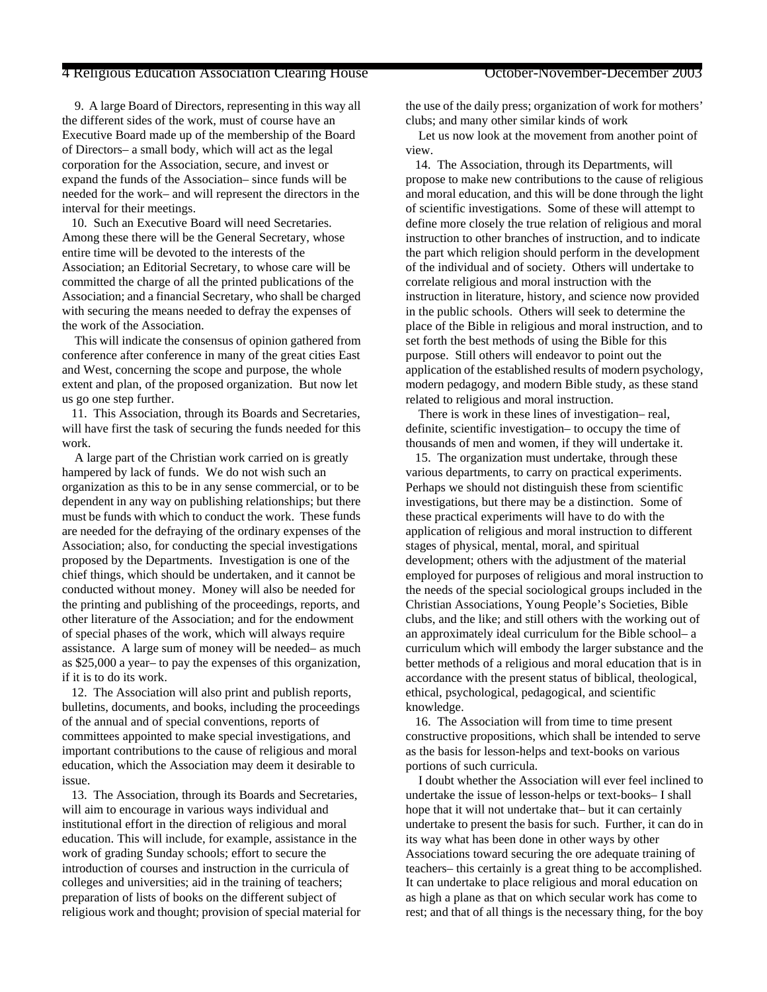9. A large Board of Directors, representing in this w ay all the different sides of the work, must of course have an Executive Board made up of the membersh ip of the Board needed for the work– and will represent the directors in the of Directors– a small body, which will act as the legal corporation for the Association, secure, and invest or expand the funds of the Association– since funds will be interval for their meetings.

Association; and a financial Secretary, who shall be charged 10. Such an Executive Board will need Secretaries. Among these there will be the General Secretary, whose entire time will be devoted to the interests of the Association; an Editorial Secretary, to whose care will be committed the charge of all the printed publications of the with securing the means needed to defray the expenses of the work of the Association.

This will indicate the consensus of opinion gathered from conference after conference in many of the great cities East extent and plan, of the proposed organization. But now let and West, concerning the scope and purpose, the whole us go one step further.

11. This Association, through its Boards and Secretaries, will have first the task of securing the funds needed for this work.

hampered by lack of funds. We do not wish such an organization as this to be in any sense commercial, or to be dependent in any way on publishing relationships; but there must be funds with which to conduct the work. These funds conducted without money. Money will also be needed for as \$25,000 a year– to pay the expenses of this organization, A large part of the Christian work carried on is greatly are needed for the defraying of the ordinary expenses of the Association; also, for conducting the special investigations proposed by the Departments. Investigation is one of the chief things, which should be undertaken, and it cannot be the printing and publishing of the proceedings, reports, and other literature of the Association; and for the endowment of special phases of the work, which will always require assistance. A large sum of money will be needed– as much if it is to do its work.

bulletins, documents, and books, including the proceedings committees appointed to make special investigations, and 12. The Association will also print and publish reports, of the annual and of special conventions, reports of important contributions to the cause of religious and moral education, which the Association may deem it desirable to issue.

colleges and universities; aid in the training of teachers; preparation of lists of books on the different subject of religious work and thought; provision of special material for 13. The Association, through its Boards and Secretaries, will aim to encourage in various ways individual and institutional effort in the direction of religious and moral education. This will include, for example, assistance in the work of grading Sunday schools; effort to secure the introduction of courses and instruction in the curricula of

the use of the daily press; organization of work for mothers' clubs; and many other similar kinds of work

 Let us now look at the movement from another point of view.

14. The Association, through its Departments, will of scientific investigations. Some of these will attempt to of the individual and of society. Others will undertake to instruction in literature, history, and science now provided application of the established results of modern psychology, modern pedagogy, and modern Bible study, as these stand propose to make new contributions to the cause of religious and moral education, and this will be done through the light define more closely the true relation of religious and moral instruction to other branches of instruction, and to indicate the part which religion should perform in the development correlate religious and moral instruction with the in the public schools. Others will seek to determine the place of the Bible in religious and moral instruction, and to set forth the best methods of using the Bible for this purpose. Still others will endeavor to point out the related to religious and moral instruction.

 There is work in these lines of investigation– real, definite, scientific investigation– to occupy the time of thousands of men and women, if they will undertake it.

15. The organization must undertake, through these the needs of the special sociological groups included in the clubs, and the like; and still others with the working out of curriculum which will embody the larger substance and the better methods of a religious and moral education that is in various departments, to carry on practical experiments. Perhaps we should not distinguish these from scientific investigations, but there may be a distinction. Some of these practical experiments will have to do with the application of religious and moral instruction to different stages of physical, mental, moral, and spiritual development; others with the adjustment of the material employed for purposes of religious and moral instruction to Christian Associations, Young People's Societies, Bible an approximately ideal curriculum for the Bible school– a accordance with the present status of biblical, theological, ethical, psychological, pedagogical, and scientific knowledge.

constructive propositions, which shall be intended to serve 16. The Association will from time to time present as the basis for lesson-helps and text-books on various portions of such curricula.

I doubt whether the Association will ever feel inclined to undertake to present the basis for such. Further, it can do in Associations toward securing the ore adequate training of teachers– this certainly is a great thing to be accomplished. It can undertake to place religious and moral education on as high a plane as that on which secular work has come to rest; and that of all things is the necessary thing, for the boy undertake the issue of lesson-helps or text-books– I shall hope that it will not undertake that– but it can certainly its way what has been done in other ways by other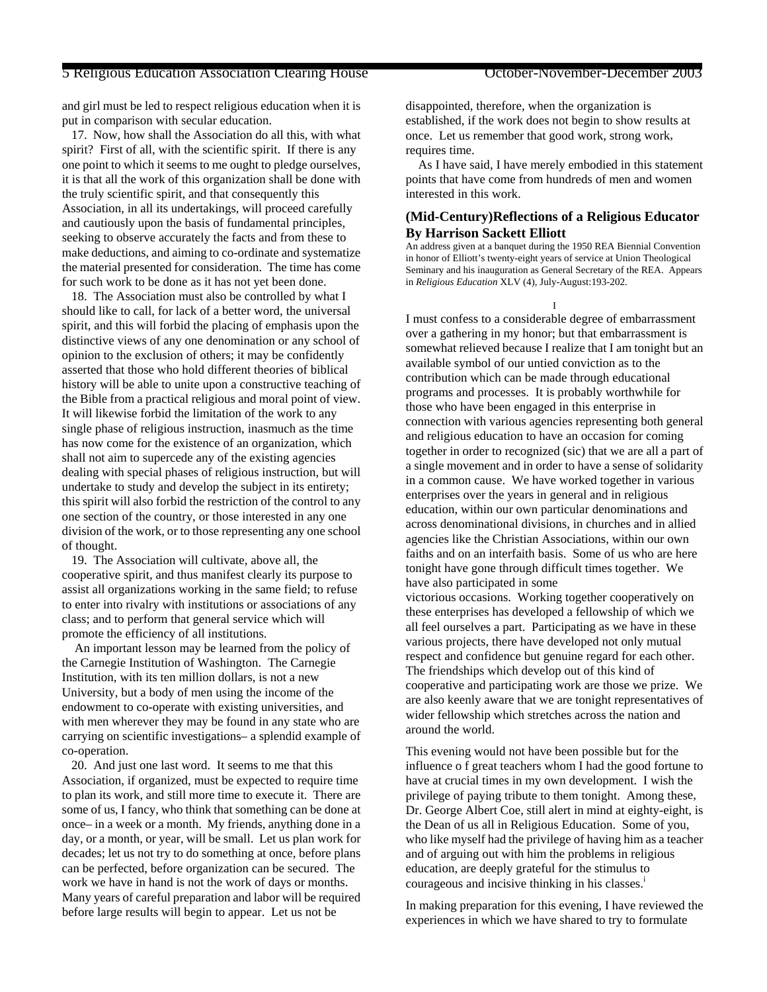and girl must be led to respect religious education when it is put in comparison with secular education.

 17. Now, how shall the Association do all this, with wh at spirit? First of all, with the scientific spirit. If there is any one point to which it seems to me ought to pledge ourselves, it is that all the work of this organization shall be done with the truly scientific spirit, and that consequently this Association, in all its undertakings, will proceed carefully and cautiously upon the basis of fundamental princ iples, seeking to ob serve accurately the facts and from these to make deductions, and aiming to co-ordinate and systematize the material presented for consideration. The time has come for such work to be done as it has not yet been done.

18. The Association must also be controlled by what I spirit, and this will forbid the placing of emphasis upon the distinctive views of any one denomination or any school of asserted that those who hold different theories of biblical dealing with special phases of religious instruction, but will should like to call, for lack of a better word, the universal opinion to the exclusion of others; it may be confidently history will be able to unite upon a constructive teaching of the Bible from a practical religious and moral point of view. It will likewise forbid the limitation of the work to any single phase of religious instruction, inasmuch as the time has now come for the existence of an organization, which shall not aim to supercede any of the existing agencies undertake to study and develop the subject in its entirety; this spirit will also forbid the restriction of the control to any one section of the country, or those interested in any one division of the work, or to those representing any one school of thought.

 19. The Association will cultivate, above all, the cooperative spirit, and thus manifest clearly its purpose to assist all organizations working in the same field; to refuse to enter into rivalry with institutions or associations of any class; and to perform that general service which will promote the efficiency of all institutions.

with men wherever they may be found in any state who are An important lesson may be learned from the policy of the Carnegie Institution of Washington. The Carnegie Institution, with its ten million dollars, is not a new University, but a body of men using the income of the endowment to co-operate with existing universities, and carrying on scientific investigations– a splendid example of co-operation.

some of us, I fancy, who think that something can be done at day, or a month, or year, will be small. Let us plan work for work we have in hand is not the work of days or months. Many years of careful preparation and labor will be required before large results will begin to appear. Let us not be 20. And just one last word. It seems to me that this Association, if organized, must be expected to require time to plan its work, and still more time to execute it. There are once– in a week or a month. My friends, anything done in a decades; let us not try to do something at once, before plans can be perfected, before organization can be secured. The

established, if the work does not begin to show results at , once. Let us remember that good work, strong work disappointed, therefore, when the organization is requires time.

 As I have said, I have merely embodied in this statement points that have come from hundreds of men and women interested in this work.

#### **(Mid-Century)Reflections of a Religious Educator By Harrison Sackett Elliott**

An address given at a banquet during the 1950 REA Biennial Convention in honor of Elliott's twenty-eight years of service at Union Theological Seminary and his inauguration as General Secretary of the REA. Appears in *Religious Education* XLV (4), July-August:193-202.

I

over a gathering in my honor; but that embarrassment is agencies like the Christian Associations, within our own I must confess to a considerable degree of embarrassment somewhat relieved because I realize that I am tonight but an available symbol of our untied conviction as to the contribution which can be made through educational programs and processes. It is probably worthwhile for those who have been engaged in this enterprise in connection with various agencies representing both general and religious education to have an occasion for coming together in order to recognized (sic) that we are all a part of a single movement and in order to have a sense of solidarity in a common cause. We have worked together in various enterprises over the years in general and in religious education, within our own particular denominations and across denominational divisions, in churches and in allied faiths and on an interfaith basis. Some of us who are here tonight have gone through difficult times together. We have also participated in some

victorious occasions. Working together cooperatively on all feel ourselves a part. Participating as we have in these cooperative and participating work are those we prize. We are also keenly aware that we are tonight representatives of these enterprises has developed a fellowship of which we various projects, there have developed not only mutual respect and confidence but genuine regard for each other. The friendships which develop out of this kind of wider fellowship which stretches across the nation and around the world.

influence o f great teachers whom I had the good fortune to have at crucial times in my own development. I wish the privilege of paying tribute to them tonight. Among these, This evening would not have been possible but for the Dr. George Albert Coe, still alert in mind at eighty-eight, is the Dean of us all in Religious Education. Some of you, who like myself had the privilege of having him as a teacher and of arguing out with him the problems in religious education, are deeply grateful for the stimulus to courageous and incisive thinking in his classes.<sup>1</sup>

In making preparation for this evening, I have reviewed the experiences in which we have shared to try to formulate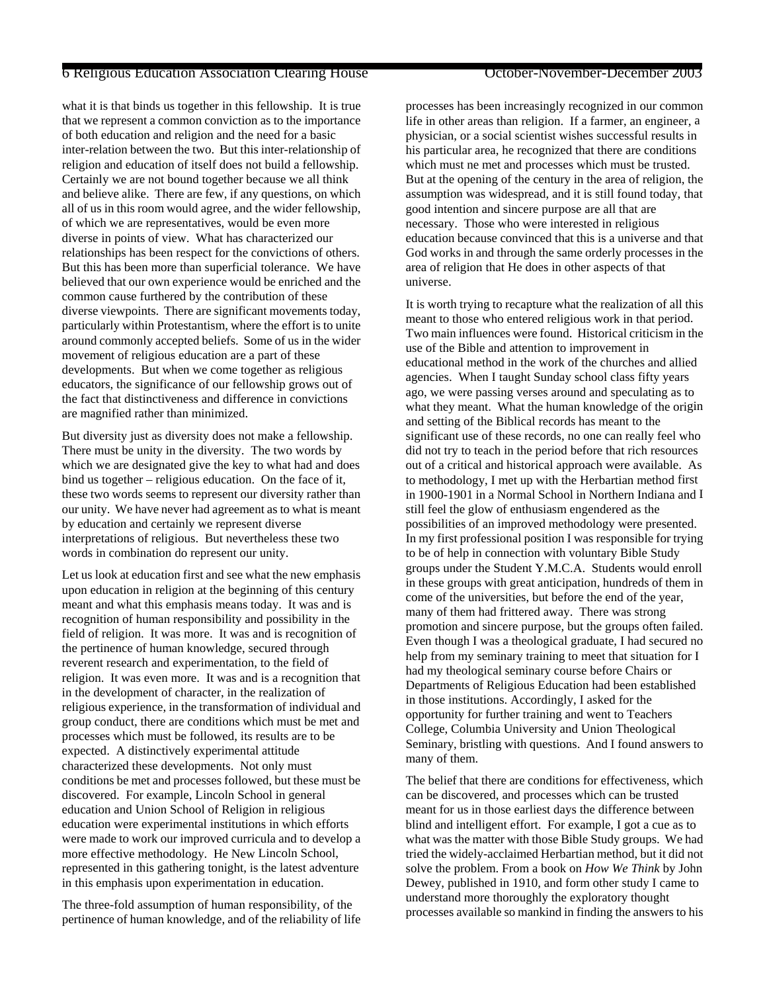what it is that binds us together in this fellowship. It is true that we represent a common conviction as to the importan ce of both education and religion and the need for a basic inter-relation between the two. But this inter-relationship o f religion and education of itself does not build a fellowship. Certainly we are not bound together because we all think and believe alike. There are few, if any questions, on which all of us in this room would agree, and the wider fellowship, relationships has been respect for the convictions of others. believed that our own experience would be enriched and the particularly within Protestantism, where the effort is to unite around commonly accepted beliefs. Some of us in the wider of which we are representatives, would be even more diverse in points of view. What has characterized our But this has been more than superficial tolerance. We have common cause furthered by the contribution of these diverse viewpoints. There are significant movements today, movement of religious education are a part of these developments. But when we come together as religious educators, the significance of our fellowship grows out of the fact that distinctiveness and difference in convictions are magnified rather than minimized.

 But diversity just as diversity does not make a fellowship. which we are designated give the key to what had and does bind us together – religious education. On the face of it, these two words seems to represent our diversity rather than There must be unity in the diversity. The two words by our unity. We have never had agreement as to what is meant by education and certainly we represent diverse interpretations of religious. But nevertheless these two words in combination do represent our unity.

Let us look at education first and see what the new emphasis religion. It was even more. It was and is a recognition that were made to work our improved curricula and to develop a more effective methodology. He New Lincoln School, represented in this gathering tonight, is the latest adventure in this emphasis upon experimentation in education. upon education in religion at the beginning of this century meant and what this emphasis means today. It was and is recognition of human responsibility and possibility in the field of religion. It was more. It was and is recognition of the pertinence of human knowledge, secured through reverent research and experimentation, to the field of in the development of character, in the realization of religious experience, in the transformation of individual and group conduct, there are conditions which must be met and processes which must be followed, its results are to be expected. A distinctively experimental attitude characterized these developments. Not only must conditions be met and processes followed, but these must be discovered. For example, Lincoln School in general education and Union School of Religion in religious education were experimental institutions in which efforts

The three-fold assumption of human responsibility, of the pertinence of human knowledge, and of the reliability of life

life in other areas than religion. If a farmer, an engineer, a But at the opening of the century in the area of religion, the assumption was widespread, and it is still found today, that necessary. Those who were interested in religious processes has been increasingly recognized in our common physician, or a social scientist wishes successful results in his particular area, he recognized that there are conditions which must ne met and processes which must be trusted. good intention and sincere purpose are all that are education because convinced that this is a universe and that God works in and through the same orderly processes in the area of religion that He does in other aspects of that universe.

meant to those who entered religious work in that period. Two main influences were found. Historical criticism in the educational method in the work of the churches and allied what they meant. What the human knowledge of the origin and setting of the Biblical records has meant to the significant use of these records, no one can really feel who out of a critical and historical approach were available. As to methodology, I met up with the Herbartian method first in 1900-1901 in a Normal School in Northern Indiana and I possibilities of an improved methodology were presented. to be of help in connection with voluntary Bible Study opportunity for further training and went to Teachers It is worth trying to recapture what the realization of all this use of the Bible and attention to improvement in agencies. When I taught Sunday school class fifty years ago, we were passing verses around and speculating as to did not try to teach in the period before that rich resources still feel the glow of enthusiasm engendered as the In my first professional position I was responsible for trying groups under the Student Y.M.C.A. Students would enroll in these groups with great anticipation, hundreds of them in come of the universities, but before the end of the year, many of them had frittered away. There was strong promotion and sincere purpose, but the groups often failed. Even though I was a theological graduate, I had secured no help from my seminary training to meet that situation for I had my theological seminary course before Chairs or Departments of Religious Education had been established in those institutions. Accordingly, I asked for the College, Columbia University and Union Theological Seminary, bristling with questions. And I found answers to many of them.

The belief that there are conditions for effectiveness, which understand more thoroughly the exploratory thought processes available so mankind in finding the answers to his can be discovered, and processes which can be trusted meant for us in those earliest days the difference between blind and intelligent effort. For example, I got a cue as to what was the matter with those Bible Study groups. We had tried the widely-acclaimed Herbartian method, but it did not solve the problem. From a book on *How We Think* by John Dewey, published in 1910, and form other study I came to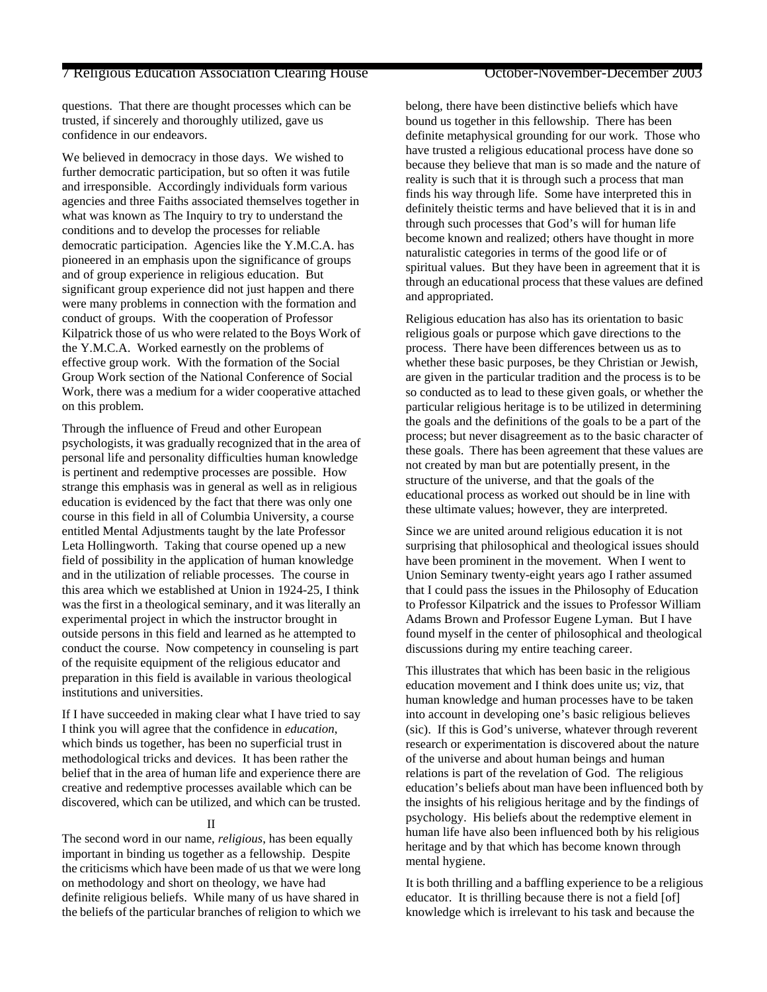questions. That there are thought processes which can be trusted, if sincerely and thoroughly utilized, gave us confidence in our endeavors.

We believed in democracy in those days. We wished to further democratic participation, but so often it was futile and irresponsible. Accordingly individuals form various agencies and three Faiths associated themselves together in what was known as The Inquiry to try to understand the conditions and to develop the processes for reliable democratic participation. Agencies like the Y.M.C.A. has pioneered in an emphasis upon the significance of groups and of group experience in religious education. But significant group experience did not just happen and there were many problems in connection with the formation and conduct of groups. With the cooperation of Professor Kilpatrick those of us who were related to the Boys Work of the Y.M.C.A. Worked earnestly on the problems of effective group work. With the formation of the Social Group Work section of the National Conference of Social Work, there was a medium for a wider cooperative attached on this problem.

Through the influence of Freud and other European psychologists, it was gradually recognized that in the area of personal life and personality difficulties human knowledge conduct the course. Now competency in counseling is part of the requisite equipment of the religious educator and preparation in this field is available in various theological is pertinent and redemptive processes are possible. How strange this emphasis was in general as well as in religious education is evidenced by the fact that there was only one course in this field in all of Columbia University, a course entitled Mental Adjustments taught by the late Professor Leta Hollingworth. Taking that course opened up a new field of possibility in the application of human knowledge and in the utilization of reliable processes. The course in this area which we established at Union in 1924-25, I think was the first in a theological seminary, and it was literally an experimental project in which the instructor brought in outside persons in this field and learned as he attempted to institutions and universities.

If I have succeeded in making clear what I have tried to say I think you will agree that the confidence in *education*, which binds us together, has been no superficial trust in methodological tricks and devices. It has been rather the belief that in the area of human life and experience there are creative and redemptive processes available which can be discovered, which can be utilized, and which can be trusted.

#### II

The second word in our name, *religious*, has been equally the criticisms which have been made of us that we were long on methodology and short on theology, we have had definite religious beliefs. While many of us have shared in the beliefs of the particular branches of religion to which we important in binding us together as a fellowship. Despite

have trusted a religious educational process have done so because they believe that man is so made and the nature of definitely theistic terms and have believed that it is in and belong, there have been distinctive beliefs which have bound us together in this fellowship. There has been definite metaphysical grounding for our work. Those who reality is such that it is through such a process that man finds his way through life. Some have interpreted this in through such processes that God's will for human life become known and realized; others have thought in more naturalistic categories in terms of the good life or of spiritual values. But they have been in agreement that it is through an educational process that these values are defined and appropriated.

Religious education has also has its orientation to basic whether these basic purposes, be they Christian or Jewish, so conducted as to lead to these given goals, or whether the he the goals and the definitions of the goals to be a part of t process; but never disagreement as to the basic character of these goals. There has been agreement that these values are religious goals or purpose which gave directions to the process. There have been differences between us as to are given in the particular tradition and the process is to be particular religious heritage is to be utilized in determining not created by man but are potentially present, in the structure of the universe, and that the goals of the educational process as worked out should be in line with these ultimate values; however, they are interpreted.

Union Seminary twenty-eight years ago I rather assumed Since we are united around religious education it is not surprising that philosophical and theological issues should have been prominent in the movement. When I went to that I could pass the issues in the Philosophy of Education to Professor Kilpatrick and the issues to Professor William Adams Brown and Professor Eugene Lyman. But I have found myself in the center of philosophical and theological discussions during my entire teaching career.

the insights of his religious heritage and by the findings of human life have also been influenced both by his religious This illustrates that which has been basic in the religious education movement and I think does unite us; viz, that human knowledge and human processes have to be taken into account in developing one's basic religious believes (sic). If this is God's universe, whatever through reverent research or experimentation is discovered about the nature of the universe and about human beings and human relations is part of the revelation of God. The religious education's beliefs about man have been influenced both by psychology. His beliefs about the redemptive element in heritage and by that which has become known through mental hygiene.

It is both thrilling and a baffling experience to be a religious educator. It is thrilling because there is not a field [of] knowledge which is irrelevant to his task and because the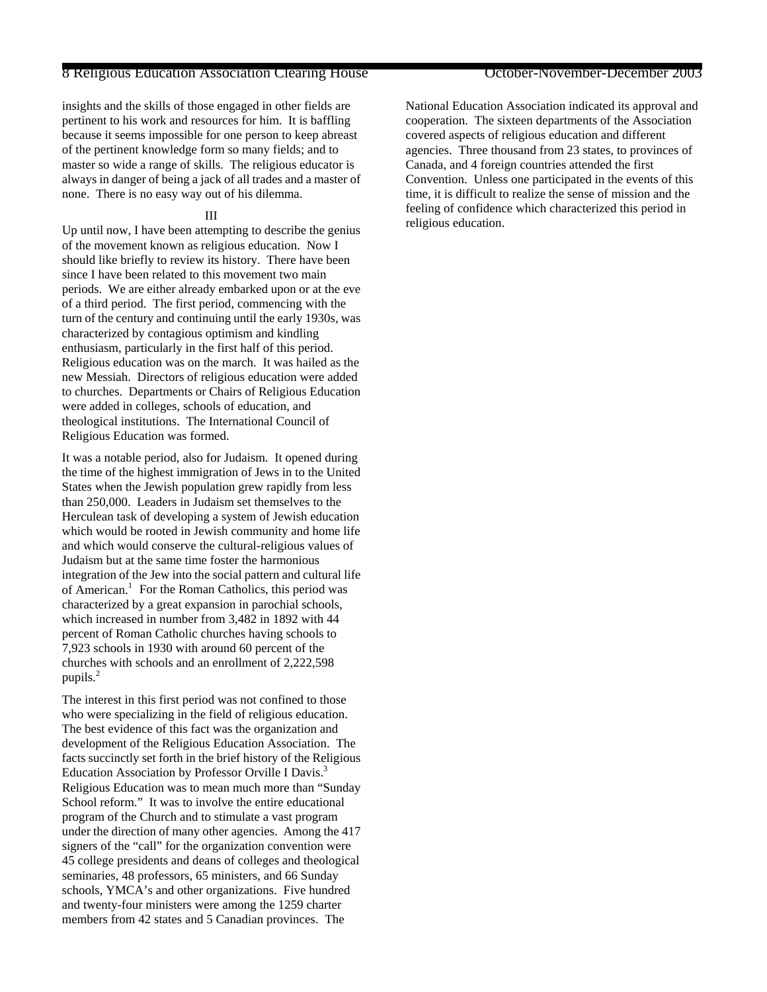insights and the skills of those engaged in other fields ar e pertinent to his work and resources for him. It is baffling because it seems impossible for one person to keep abre ast of the pertinent knowledge form so many fields; and to master so wide a range of skills. The religious educator is always in danger of being a jack of all trades and a master of none. There is no easy way out of his dilemma.

#### III

Up until now, I have been attempting to describe the genius of the movement known as religious education. Now I should like briefly to review its history. There have b een since I have been related to this movement two ma in periods. We are either already embarked upon or at the ev e of a third period. The first period, commencing with the turn of the century and continuing until the early 1930s, was Religious education was on the march. It was hailed as the characterized by contagious optimism and kindling enthusiasm, particularly in the first half of this period. new Messiah. Directors of religious education were added to churches. Departments or Chairs of Religious Education were added in colleges, schools of education, and theological institutions. The International Council of Religious Education was formed.

the time of the highest immigration of Jews in to the United churches with schools and an enrollment of 2,222,598 It was a notable period, also for Judaism. It opened during States when the Jewish population grew rapidly from less than 250,000. Leaders in Judaism set themselves to the Herculean task of developing a system of Jewish education which would be rooted in Jewish community and home life and which would conserve the cultural-religious values of Judaism but at the same time foster the harmonious integration of the Jew into the social pattern and cultural life of American.<sup>1</sup> For the Roman Catholics, this period was characterized by a great expansion in parochial schools, which increased in number from 3,482 in 1892 with 44 percent of Roman Catholic churches having schools to 7,923 schools in 1930 with around 60 percent of the pupils.<sup>2</sup>

program of the Church and to stimulate a vast program under the direction of many other agencies. Among the 417 45 college presidents and deans of colleges and theological schools, YMCA's and other organizations. Five hundred and twenty-four ministers were among the 1259 charter members from 42 states and 5 Canadian provinces. The The interest in this first period was not confined to those who were specializing in the field of religious education. The best evidence of this fact was the organization and development of the Religious Education Association. The facts succinctly set forth in the brief history of the Religious Education Association by Professor Orville I Davis.<sup>3</sup> Religious Education was to mean much more than "Sunday School reform." It was to involve the entire educational signers of the "call" for the organization convention were seminaries, 48 professors, 65 ministers, and 66 Sunday

National Education Association indicated its approval and Convention. Unless one participated in the events of this cooperation. The sixteen departments of the Association covered aspects of religious education and different agencies. Three thousand from 23 states, to provinces of Canada, and 4 foreign countries attended the first time, it is difficult to realize the sense of mission and the feeling of confidence which characterized this period in religious education.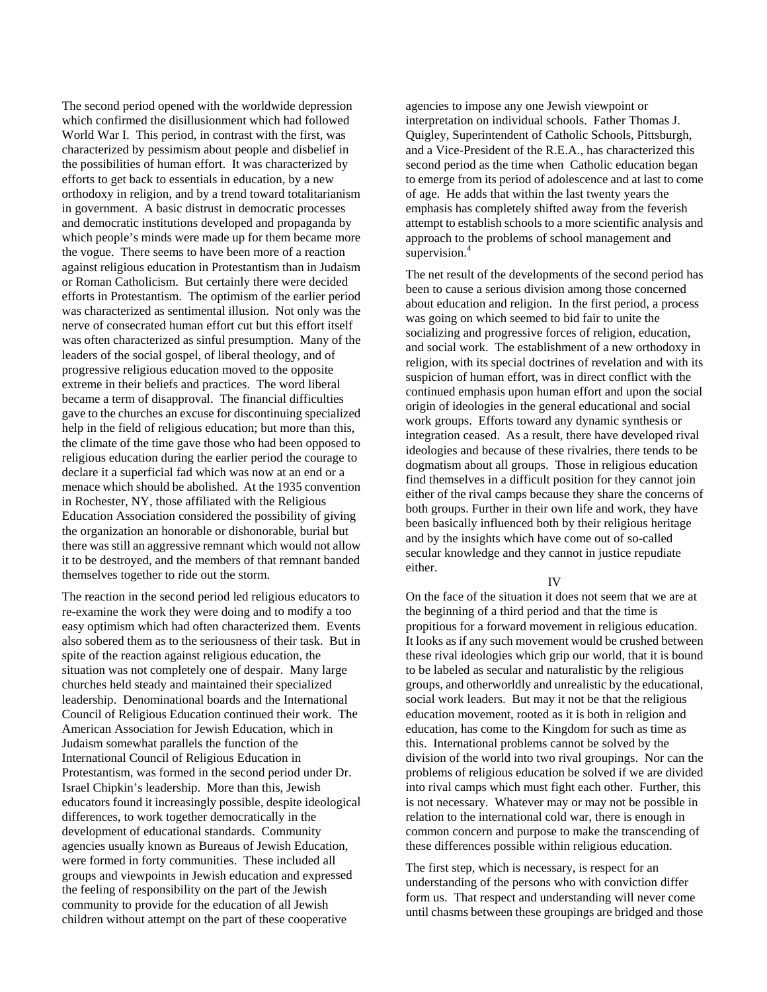The second period opened with the worldwide depression which confirmed the disillusionment which had followed help in the field of religious education; but more than this, World War I. This period, in contrast with the first, was characterized by pessimism about people and disbelief in the possibilities of human effort. It was characterized by efforts to get back to essentials in education, by a new orthodoxy in religion, and by a trend toward totalitarianism in government. A basic distrust in democratic processes and democratic institutions developed and propaganda by which people's minds were made up for them became more the vogue. There seems to have been more of a reaction against religious education in Protestantism than in Judaism or Roman Catholicism. But certainly there were decided efforts in Protestantism. The optimism of the earlier period was characterized as sentimental illusion. Not only was the nerve of consecrated human effort cut but this effort itself was often characterized as sinful presumption. Many of the leaders of the social gospel, of liberal theology, and of progressive religious education moved to the opposite extreme in their beliefs and practices. The word liberal became a term of disapproval. The financial difficulties gave to the churches an excuse for discontinuing specialized the climate of the time gave those who had been opposed to religious education during the earlier period the courage to declare it a superficial fad which was now at an end or a menace which should be abolished. At the 1935 convention in Rochester, NY, those affiliated with the Religious Education Association considered the possibility of giving the organization an honorable or dishonorable, burial but there was still an aggressive remnant which would not allow it to be destroyed, and the members of that remnant banded themselves together to ride out the storm.

re-examine the work they were doing and to modify a too Council of Religious Education continued their work. The Protestantism, was formed in the second period under Dr. Israel Chipkin's leadership. More than this, Jewish educators found it increasingly possible, despite ideological were formed in forty communities. These included all groups and viewpoints in Jewish education and expressed the feeling of responsibility on the part of the Jewish community to provide for the education of all Jewish children without attempt on the part of these cooperative The reaction in the second period led religious educators to easy optimism which had often characterized them. Events also sobered them as to the seriousness of their task. But in spite of the reaction against religious education, the situation was not completely one of despair. Many large churches held steady and maintained their specialized leadership. Denominational boards and the International American Association for Jewish Education, which in Judaism somewhat parallels the function of the International Council of Religious Education in differences, to work together democratically in the development of educational standards. Community agencies usually known as Bureaus of Jewish Education,

agencies to impose any one Jewish viewpoint or interpretation on individual schools. Father Thomas J. attempt to establish schools to a more scientific analysis and Quigley, Superintendent of Catholic Schools, Pittsburgh, and a Vice-President of the R.E.A., has characterized this second period as the time when Catholic education began to emerge from its period of adolescence and at last to come of age. He adds that within the last twenty years the emphasis has completely shifted away from the feverish approach to the problems of school management and supervision.<sup>4</sup>

religion, with its special doctrines of revelation and with its suspicion of human effort, was in direct conflict with the The net result of the developments of the second period has been to cause a serious division among those concerned about education and religion. In the first period, a process was going on which seemed to bid fair to unite the socializing and progressive forces of religion, education, and social work. The establishment of a new orthodoxy in continued emphasis upon human effort and upon the social origin of ideologies in the general educational and social work groups. Efforts toward any dynamic synthesis or integration ceased. As a result, there have developed rival ideologies and because of these rivalries, there tends to be dogmatism about all groups. Those in religious education find themselves in a difficult position for they cannot join either of the rival camps because they share the concerns of both groups. Further in their own life and work, they have been basically influenced both by their religious heritage and by the insights which have come out of so-called secular knowledge and they cannot in justice repudiate either.

#### IV

these rival ideologies which grip our world, that it is bound groups, and otherworldly and unrealistic by the educational, social work leaders. But may it not be that the religious common concern and purpose to make the transcending of On the face of the situation it does not seem that we are at the beginning of a third period and that the time is propitious for a forward movement in religious education. It looks as if any such movement would be crushed between to be labeled as secular and naturalistic by the religious education movement, rooted as it is both in religion and education, has come to the Kingdom for such as time as this. International problems cannot be solved by the division of the world into two rival groupings. Nor can the problems of religious education be solved if we are divided into rival camps which must fight each other. Further, this is not necessary. Whatever may or may not be possible in relation to the international cold war, there is enough in these differences possible within religious education.

understanding of the persons who with conviction differ form us. That respect and understanding will never come until chasms between these groupings are bridged and those The first step, which is necessary, is respect for an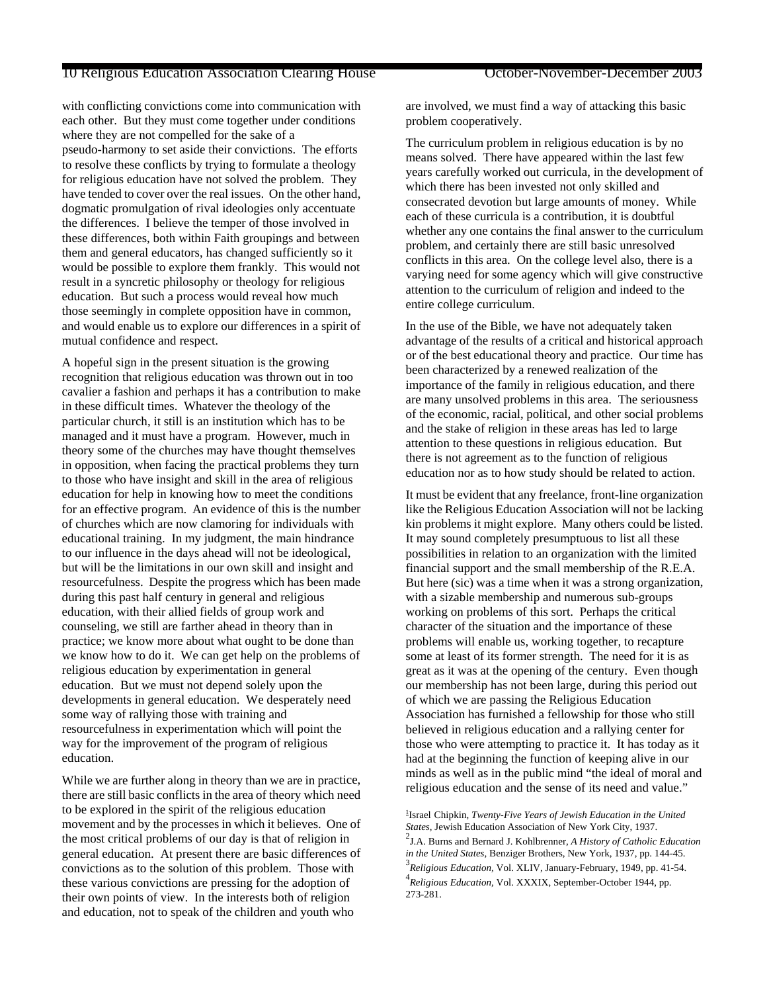with conflicting convictions come into communication with each other. But they must come together under conditions where they are not compelled for the sake of a pseudo-harmony to set aside their convictions. The efforts to resolve these conflicts by trying to formulate a theology for religious education have not solved the problem. They have tended to cover over the real issues. On the other hand, dogmatic promulgation of rival ideologies only accentuate the differences. I believe the temper of those involved in these differences, both within Faith groupings and between them and general educators, has changed sufficiently so it would be possible to explore them frankly. This would not result in a syncretic philosophy or theology for religious education. But such a process would reveal how much those seemingly in complete opposition have in common, and would enable us to explore our differences in a spirit of mutual confidence and respect.

cavalier a fashion and perhaps it has a contribution to make theory some of the churches may have thought themselves in opposition, when facing the practical problems they turn for an effective program. An evidence of this is the number of churches which are now clamoring for individuals with A hopeful sign in the present situation is the growing recognition that religious education was thrown out in too in these difficult times. Whatever the theology of the particular church, it still is an institution which has to be managed and it must have a program. However, much in to those who have insight and skill in the area of religious education for help in knowing how to meet the conditions educational training. In my judgment, the main hindrance to our influence in the days ahead will not be ideological, but will be the limitations in our own skill and insight and resourcefulness. Despite the progress which has been made during this past half century in general and religious education, with their allied fields of group work and counseling, we still are farther ahead in theory than in practice; we know more about what ought to be done than we know how to do it. We can get help on the problems of religious education by experimentation in general education. But we must not depend solely upon the developments in general education. We desperately need some way of rallying those with training and resourcefulness in experimentation which will point the way for the improvement of the program of religious education.

While we are further along in theory than we are in practice, there are still basic conflicts in the area of theory which need the most critical problems of our day is that of religion in general education. At present there are basic differences of these various convictions are pressing for the adoption of their own points of view. In the interests both of religion and education, not to speak of the children and youth who to be explored in the spirit of the religious education movement and by the processes in which it believes. One of convictions as to the solution of this problem. Those with

are involved, we must find a way of attacking this basic problem cooperatively.

The curriculum problem in religious education is by no means solved. There have appeared within the last few years carefully worked out curricula, in the development of which there has been invested not only skilled and consecrated devotion but large amounts of money. While each of these curricula is a contribution, it is doubtful whether any one contains the final answer to the curriculum problem, and certainly there are still basic unresolved conflicts in this area. On the college level also, there is a varying need for some agency which will give constructive attention to the curriculum of religion and indeed to the entire college curriculum.

advantage of the results of a critical and historical approach are many unsolved problems in this area. The seriousness In the use of the Bible, we have not adequately taken or of the best educational theory and practice. Our time has been characterized by a renewed realization of the importance of the family in religious education, and there of the economic, racial, political, and other social problems and the stake of religion in these areas has led to large attention to these questions in religious education. But there is not agreement as to the function of religious education nor as to how study should be related to action.

like the Religious Education Association will not be lacking kin problems it might explore. Many others could be listed. But here (sic) was a time when it was a strong organization, great as it was at the opening of the century. Even though It must be evident that any freelance, front-line organization It may sound completely presumptuous to list all these possibilities in relation to an organization with the limited financial support and the small membership of the R.E.A. with a sizable membership and numerous sub-groups working on problems of this sort. Perhaps the critical character of the situation and the importance of these problems will enable us, working together, to recapture some at least of its former strength. The need for it is as our membership has not been large, during this period out of which we are passing the Religious Education Association has furnished a fellowship for those who still believed in religious education and a rallying center for those who were attempting to practice it. It has today as it had at the beginning the function of keeping alive in our minds as well as in the public mind "the ideal of moral and religious education and the sense of its need and value."

<sup>1</sup> Israel Chipkin, *Twenty-Five Years of Jewish Education in the United States,* Jewish Education Association of New York City, 1937. 2 J.A. Burns and Bernard J. Kohlbrenner, A History of Catholic Education *in the United States,* Benziger Brothers, New York, 1937, pp. 144-45. 3 *Religious Education,* Vol. XLIV, January-February, 1949, pp. 41-54. 4 *Religious Education,* Vol. XXXIX, September-October 1944, pp. 273-281.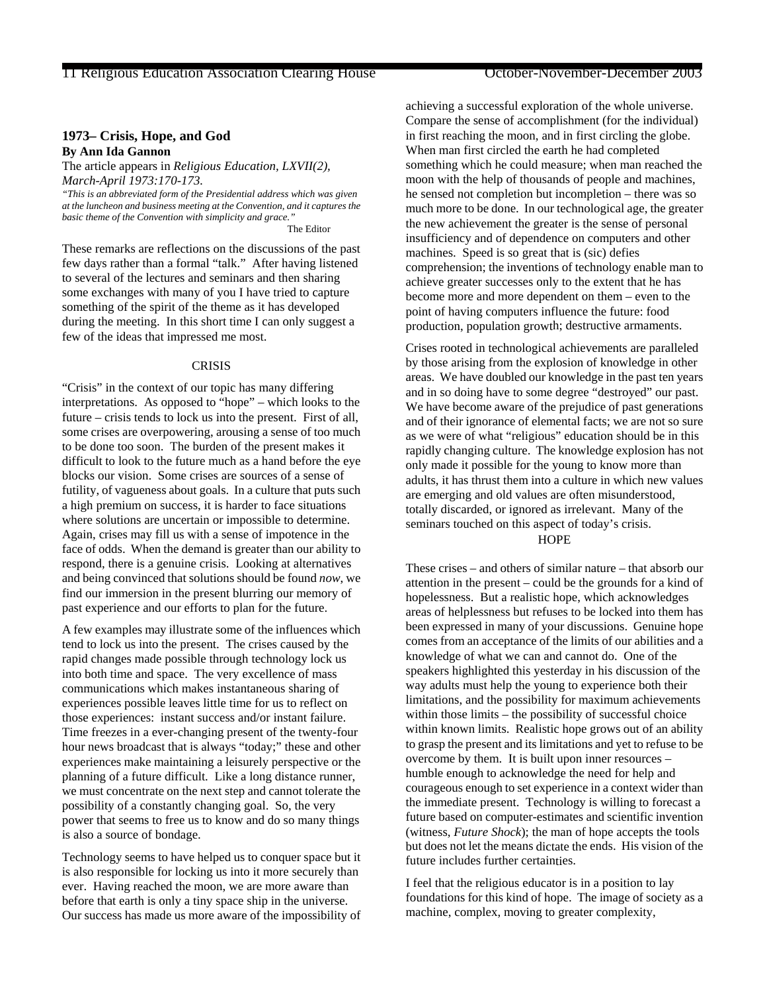#### **1973– Crisis, Hope, and God By Ann Ida Gannon**

The article appears in *Religious Education, LXVII(2), March-April 1973:170-173.**"This is an abbreviated form of the Presidential address which was given* 

*at the luncheon and business meeting at the Convention, and it capture s the basic theme of the Convention with simplicity and grace."* The The Editor

These remarks are reflections on the discussions of the past few days rather than a formal "talk." After having listened during the meeting. In this short time I can only suggest a few of the ideas that impressed me most. to several of the lectures and seminars and then sharing some exchanges with many of you I have tried to capture something of the spirit of the theme as it has developed

#### CRISIS

"Crisis" in the context of our topic has many differing interpretations. As opposed to "hope" – which looks to the future  $-$  crisis tends to lock us into the present. First of all, some crises are overpowering, arousing a sense of too much to be done too soon. The burden of the present makes it face of odds. When the demand is greater than our ability to past experience and our efforts to plan for the future. difficult to look to the future much as a hand before the eye blocks our vision. Some crises are sources of a sense of futility, of vagueness about goals. In a culture that puts such a high premium on success, it is harder to face situations where solutions are uncertain or impossible to determine. Again, crises may fill us with a sense of impotence in the respond, there is a genuine crisis. Looking at alternatives and being convinced that solutions should be found *now*, we find our immersion in the present blurring our memory of

A few examples may illustrate some of the influences which tend to lock us into the present. The crises caused by the rapid changes made possible through technology lock us into both time and space. The very excellence of mass communications which makes instantaneous sharing of experiences possible leaves little time for us to reflect on those experiences: instant success and/or instant failure. Time freezes in a ever-changing present of the twenty-four hour news broadcast that is always "today;" these and other experiences make maintaining a leisurely perspective or the planning of a future difficult. Like a long distance runner, we must concentrate on the next step and cannot tolerate the possibility of a constantly changing goal. So, the very power that seems to free us to know and do so many things is also a source of bondage.

ever. Having reached the moon, we are more aware than before that earth is only a tiny space ship in the universe. Our success has made us more aware of the impossibility of Technology seems to have helped us to conquer space but it is also responsible for locking us into it more securely than

something which he could measure; when man reached the production, population growth; destructive armaments. achieving a successful exploration of the whole universe. Compare the sense of accomplishment (for the individual) in first reaching the moon, and in first circling the globe. When man first circled the earth he had completed moon with the help of thousands of people and machines, he sensed not completion but incompletion – there was so much more to be done. In our technological age, the greater the new achievement the greater is the sense of personal insufficiency and of dependence on computers and other machines. Speed is so great that is (sic) defies comprehension; the inventions of technology enable man to achieve greater successes only to the extent that he has become more and more dependent on them – even to the point of having computers influence the future: food

rapidly changing culture. The knowledge explosion has not Crises rooted in technological achievements are paralleled by those arising from the explosion of knowledge in other areas. We have doubled our knowledge in the past ten years and in so doing have to some degree "destroyed" our past. We have become aware of the prejudice of past generations and of their ignorance of elemental facts; we are not so sure as we were of what "religious" education should be in this only made it possible for the young to know more than adults, it has thrust them into a culture in which new values are emerging and old values are often misunderstood, totally discarded, or ignored as irrelevant. Many of the seminars touched on this aspect of today's crisis.

#### **HOPE**

areas of helplessness but refuses to be locked into them has been expressed in many of your discussions. Genuine hope comes from an acceptance of the limits of our abilities and a the immediate present. Technology is willing to forecast a future based on computer-estimates and scientific invention (witness, *Future Shock*); the man of hope accepts the tools but does not let the means dictate the ends. His vision of the future includes further certainties. These crises – and others of similar nature – that absorb our attention in the present – could be the grounds for a kind of hopelessness. But a realistic hope, which acknowledges knowledge of what we can and cannot do. One of the speakers highlighted this yesterday in his discussion of the way adults must help the young to experience both their limitations, and the possibility for maximum achievements within those limits – the possibility of successful choice within known limits. Realistic hope grows out of an ability to grasp the present and its limitations and yet to refuse to be overcome by them. It is built upon inner resources – humble enough to acknowledge the need for help and courageous enough to set experience in a context wider than

I feel that the religious educator is in a position to lay foundations for this kind of hope. The image of society as a machine, complex, moving to greater complexity,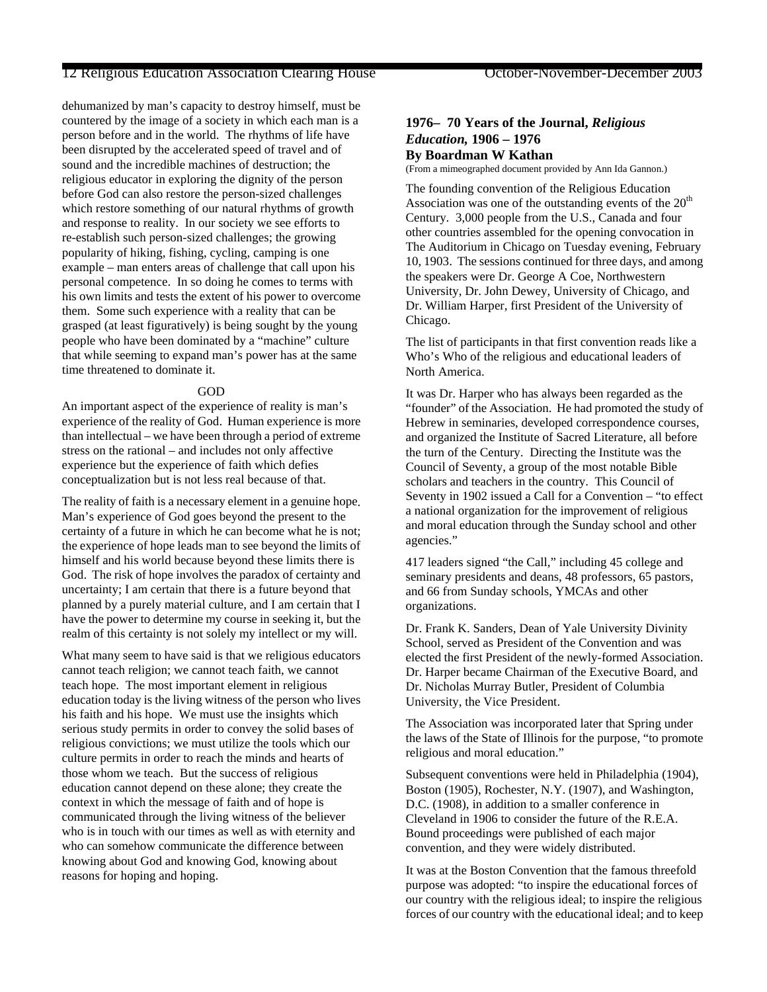dehumanized by man's capacity to destroy himself, must be countered by the image of a society in which each man is a person before and in the world. The rhythms of life have been disrupted by the accelerated speed of travel and of sound and the incredible machines of destruction; the religious educator in exploring the dignity of the person before God can also restore the person-sized challenges which restore something of our natural rhythms of growth and response to reality. In our society we see efforts to re-establish such person-sized challenges; the growing popularity of hiking, fishing, cycling, camping is one example – man enters areas of challenge that call upon his personal competence. In so doing he comes to terms with his own limits and tests the extent of his power to over come them. Some such experience with a reality that can be grasped (at least figuratively) is being sought by the young people who have been dominated by a "machine" culture that while seeming to expand man's power has at the same time threatened to dominate it.

#### GOD

An important aspect of the experience of reality is man's experience of the reality of God. Human experience is more stress on the rational – and includes not only affective than intellectual – we have been through a period of extreme experience but the experience of faith which defies conceptualization but is not less real because of that.

The reality of faith is a necessary element in a genuine hope. certainty of a future in which he can become what he is not; planned by a purely material culture, and I am certain that I Man's experience of God goes beyond the present to the the experience of hope leads man to see beyond the limits of himself and his world because beyond these limits there is God. The risk of hope involves the paradox of certainty and uncertainty; I am certain that there is a future beyond that have the power to determine my course in seeking it, but the realm of this certainty is not solely my intellect or my will.

education today is the living witness of the person who lives serious study permits in order to convey the solid bases of religious convictions; we must utilize the tools which our communicated through the living witness of the believer who is in touch with our times as well as with eternity and who can somehow communicate the difference between What many seem to have said is that we religious educators cannot teach religion; we cannot teach faith, we cannot teach hope. The most important element in religious his faith and his hope. We must use the insights which culture permits in order to reach the minds and hearts of those whom we teach. But the success of religious education cannot depend on these alone; they create the context in which the message of faith and of hope is knowing about God and knowing God, knowing about reasons for hoping and hoping.

#### **1976– 70 Years of the Journal,** *Religious Education,* **1906 – 1976 By Boardman W Kathan**

(From a mimeographed document provided by Ann Ida Gannon.)

The Auditorium in Chicago on Tuesday evening, February 10, 1903. The sessions continued for three days, and among The founding convention of the Religious Education Association was one of the outstanding events of the  $20<sup>th</sup>$ Century. 3,000 people from the U.S., Canada and four other countries assembled for the opening convocation in the speakers were Dr. George A Coe, Northwestern University, Dr. John Dewey, University of Chicago, and Dr. William Harper, first President of the University of Chicago.

The list of participants in that first convention reads like a Who's Who of the religious and educational leaders of North America.

Hebrew in seminaries, developed correspondence courses, and organized the Institute of Sacred Literature, all before the turn of the Century. Directing the Institute was the Council of Seventy, a group of the most notable Bible scholars and teachers in the country. This Council of Seventy in 1902 issued a Call for a Convention – "to effect a national organization for the improvement of religious and moral education through the Sunday school and other It was Dr. Harper who has always been regarded as the "founder" of the Association. He had promoted the study of agencies."

417 leaders signed "the Call," including 45 college and seminary presidents and deans, 48 professors, 65 pastors, and 66 from Sunday schools, YMCAs and other organizations.

Dr. Frank K. Sanders, Dean of Yale University Divinity School, served as President of the Convention and was elected the first President of the newly-formed Association. Dr. Harper became Chairman of the Executive Board, and Dr. Nicholas Murray Butler, President of Columbia University, the Vice President.

The Association was incorporated later that Spring under the laws of the State of Illinois for the purpose, "to promote religious and moral education."

Subsequent conventions were held in Philadelphia (1904), Boston (1905), Rochester, N.Y. (1907), and Washington, D.C. (1908), in addition to a smaller conference in Cleveland in 1906 to consider the future of the R.E.A. Bound proceedings were published of each major convention, and they were widely distributed.

It was at the Boston Convention that the famous threefold purpose was adopted: "to inspire the educational forces of our country with the religious ideal; to inspire the religious forces of our country with the educational ideal; and to keep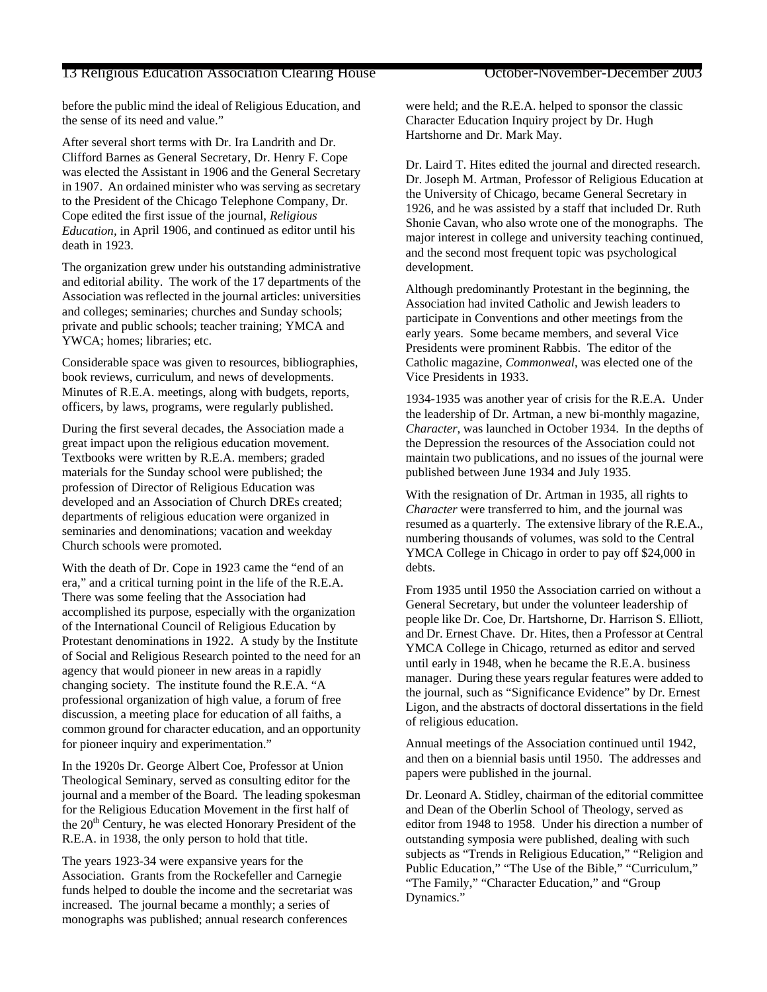before the public mind the ideal of Religious Education , and the sense of its need and value."

After several short terms with Dr. Ira Landrith and Dr. Clifford Barnes as General Secretary, Dr. Henry F. Cop e was elected the Assistant in 1906 and the General Secretary in 1907. An ordained minister who was serving as secretary *s*  Cope edited the first issue of the journal, *Religiou* Education, in April 1906, and continued as editor until his to the President of the Chicago Telephone Company, Dr. death in 1923.

The organization grew under his outstanding administrative and colleges; seminaries; churches and Sunday schools; private and public schools; teacher training; YMCA and and editorial ability. The work of the 17 departments of the Association was reflected in the journal articles: universities YWCA; homes; libraries; etc.

book reviews, curriculum, and news of developments. Considerable space was given to resources, bibliographies, Minutes of R.E.A. meetings, along with budgets, reports, officers, by laws, programs, were regularly published.

During the first several decades, the Association made a Textbooks were written by R.E.A. members; graded materials for the Sunday school were published; the great impact upon the religious education movement. profession of Director of Religious Education was developed and an Association of Church DREs created; departments of religious education were organized in seminaries and denominations; vacation and weekday Church schools were promoted.

With the death of Dr. Cope in 1923 came the "end of an era," and a critical turning point in the life of the R.E.A. of Social and Religious Research pointed to the need for an professional organization of high value, a forum of free There was some feeling that the Association had accomplished its purpose, especially with the organization of the International Council of Religious Education by Protestant denominations in 1922. A study by the Institute agency that would pioneer in new areas in a rapidly changing society. The institute found the R.E.A. "A discussion, a meeting place for education of all faiths, a common ground for character education, and an opportunity for pioneer inquiry and experimentation."

journal and a member of the Board. The leading spokesman the 20<sup>th</sup> Century, he was elected Honorary President of the In the 1920s Dr. George Albert Coe, Professor at Union Theological Seminary, served as consulting editor for the for the Religious Education Movement in the first half of R.E.A. in 1938, the only person to hold that title.

Association. Grants from the Rockefeller and Carnegie funds helped to double the income and the secretariat was increased. The journal became a monthly; a series of monographs was published; annual research conferences The years 1923-34 were expansive years for the

were held; and the R.E.A. helped to sponsor the classic Character Education Inquiry project by Dr. Hugh Hartshorne and Dr. Mark May.

Dr. Laird T. Hites edited the journal and directed research. Dr. Joseph M. Artman, Professor of Religious Education at the University of Chicago, became General Secretary in 1926, and he was assisted by a staff that included Dr. Ruth Shonie Cavan, who also wrote one of the monographs. The major interest in college and university teaching continued, and the second most frequent topic was psychological development.

Catholic magazine, *Commonweal*, was elected one of the Although predominantly Protestant in the beginning, the Association had invited Catholic and Jewish leaders to participate in Conventions and other meetings from the early years. Some became members, and several Vice Presidents were prominent Rabbis. The editor of the Vice Presidents in 1933.

1934-1935 was another year of crisis for the R.E.A. Under the leadership of Dr. Artman, a new bi-monthly magazine, Character, was launched in October 1934. In the depths of the Depression the resources of the Association could not maintain two publications, and no issues of the journal were published between June 1934 and July 1935.

resumed as a quarterly. The extensive library of the R.E.A., numbering thousands of volumes, was sold to the Central With the resignation of Dr. Artman in 1935, all rights to *Character* were transferred to him, and the journal was YMCA College in Chicago in order to pay off \$24,000 in debts.

people like Dr. Coe, Dr. Hartshorne, Dr. Harrison S. Elliott, and Dr. Ernest Chave. Dr. Hites, then a Professor at Central YMCA College in Chicago, returned as editor and served From 1935 until 1950 the Association carried on without a General Secretary, but under the volunteer leadership of until early in 1948, when he became the R.E.A. business manager. During these years regular features were added to the journal, such as "Significance Evidence" by Dr. Ernest Ligon, and the abstracts of doctoral dissertations in the field of religious education.

and and then on a biennial basis until 1950. The addresses papers were published in the journal. Annual meetings of the Association continued until 1942,

Dr. Leonard A. Stidley, chairman of the editorial committee editor from 1948 to 1958. Under his direction a number of subjects as "Trends in Religious Education," "Religion and Public Education," "The Use of the Bible," "Curriculum," "The Family," "Character Education," and "Group Dynamics." and Dean of the Oberlin School of Theology, served as outstanding symposia were published, dealing with such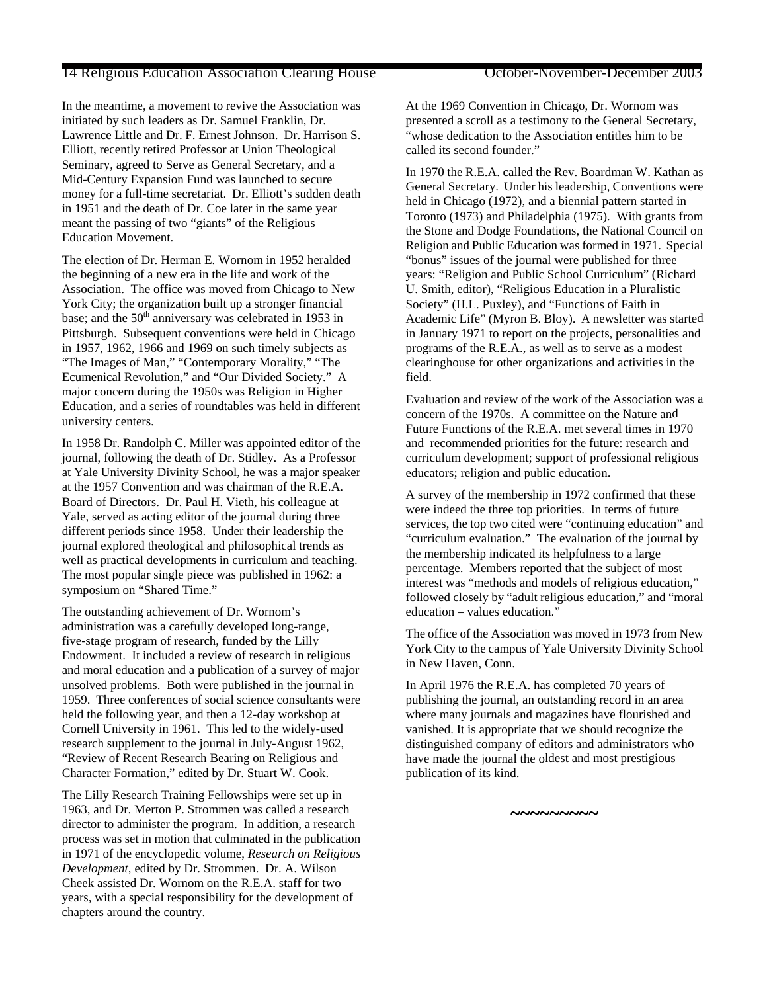In the meantime, a movement to revive the Association wa s nitiated by such leaders a s Dr. Samuel Franklin, Dr. i meant the passing of two "giants" of the Religious Lawrence Little and Dr. F. Ernest Johnson. Dr. Harrison S. Elliott, recently retired Professor at Union Theological Seminary, agreed to Serve as General Secretary, and a Mid-Century Expansion Fund was launched to secure money for a full-time secretariat. Dr. Elliott's sudden death in 1951 and the death of Dr. Coe later in the same year Education Movement.

base; and the  $50<sup>th</sup>$  anniversary was celebrated in 1953 in Education, and a series of roundtables was held in different The election of Dr. Herman E. Wornom in 1952 heralded the beginning of a new era in the life and work of the Association. The office was moved from Chicago to New York City; the organization built up a stronger financial Pittsburgh. Subsequent conventions were held in Chicago in 1957, 1962, 1966 and 1969 on such timely subjects as "The Images of Man," "Contemporary Morality," "The Ecumenical Revolution," and "Our Divided Society." A major concern during the 1950s was Religion in Higher university centers.

at Yale University Divinity School, he was a major speaker Yale, served as acting editor of the journal during three In 1958 Dr. Randolph C. Miller was appointed editor of the journal, following the death of Dr. Stidley. As a Professor at the 1957 Convention and was chairman of the R.E.A. Board of Directors. Dr. Paul H. Vieth, his colleague at different periods since 1958. Under their leadership the journal explored theological and philosophical trends as well as practical developments in curriculum and teaching. The most popular single piece was published in 1962: a symposium on "Shared Time."

administration was a carefully developed long-range, five-stage program of research, funded by the Lilly The outstanding achievement of Dr. Wornom's Endowment. It included a review of research in religious and moral education and a publication of a survey of major unsolved problems. Both were published in the journal in 1959. Three conferences of social science consultants were held the following year, and then a 12-day workshop at Cornell University in 1961. This led to the widely-used research supplement to the journal in July-August 1962, "Review of Recent Research Bearing on Religious and Character Formation," edited by Dr. Stuart W. Cook.

The Lilly Research Training Fellowships were set up in years, with a special responsibility for the development of chapters around the country. 1963, and Dr. Merton P. Strommen was called a research director to administer the program. In addition, a research process was set in motion that culminated in the publication in 1971 of the encyclopedic volume, *Research on Religious Development,* edited by Dr. Strommen. Dr. A. Wilson Cheek assisted Dr. Wornom on the R.E.A. staff for two

At the 1969 Convention in Chicago, Dr. Wornom was presented a scroll as a testimony to the General Secretary, "whose dedication to the Association entitles him to be called its second founder."

held in Chicago (1972), and a biennial pattern started in years: "Religion and Public School Curriculum" (Richard Academic Life" (Myron B. Bloy). A newsletter was started clearinghouse for other organizations and activities in the In 1970 the R.E.A. called the Rev. Boardman W. Kathan as General Secretary. Under his leadership, Conventions were Toronto (1973) and Philadelphia (1975). With grants from the Stone and Dodge Foundations, the National Council on Religion and Public Education was formed in 1971. Special "bonus" issues of the journal were published for three U. Smith, editor), "Religious Education in a Pluralistic Society" (H.L. Puxley), and "Functions of Faith in in January 1971 to report on the projects, personalities and programs of the R.E.A., as well as to serve as a modest field.

Evaluation and review of the work of the Association was a concern of the 1970s. A committee on the Nature and Future Functions of the R.E.A. met several times in 1970 and recommended priorities for the future: research and curriculum development; support of professional religious educators; religion and public education.

services, the top two cited were "continuing education" and A survey of the membership in 1972 confirmed that these were indeed the three top priorities. In terms of future "curriculum evaluation." The evaluation of the journal by the membership indicated its helpfulness to a large percentage. Members reported that the subject of most interest was "methods and models of religious education," followed closely by "adult religious education," and "moral education – values education."

York City to the campus of Yale University Divinity School The office of the Association was moved in 1973 from New in New Haven, Conn.

In April 1976 the R.E.A. has completed 70 years of distinguished company of editors and administrators who have made the journal the oldest and most prestigious publishing the journal, an outstanding record in an area where many journals and magazines have flourished and vanished. It is appropriate that we should recognize the publication of its kind.

**~~~~~~~~~**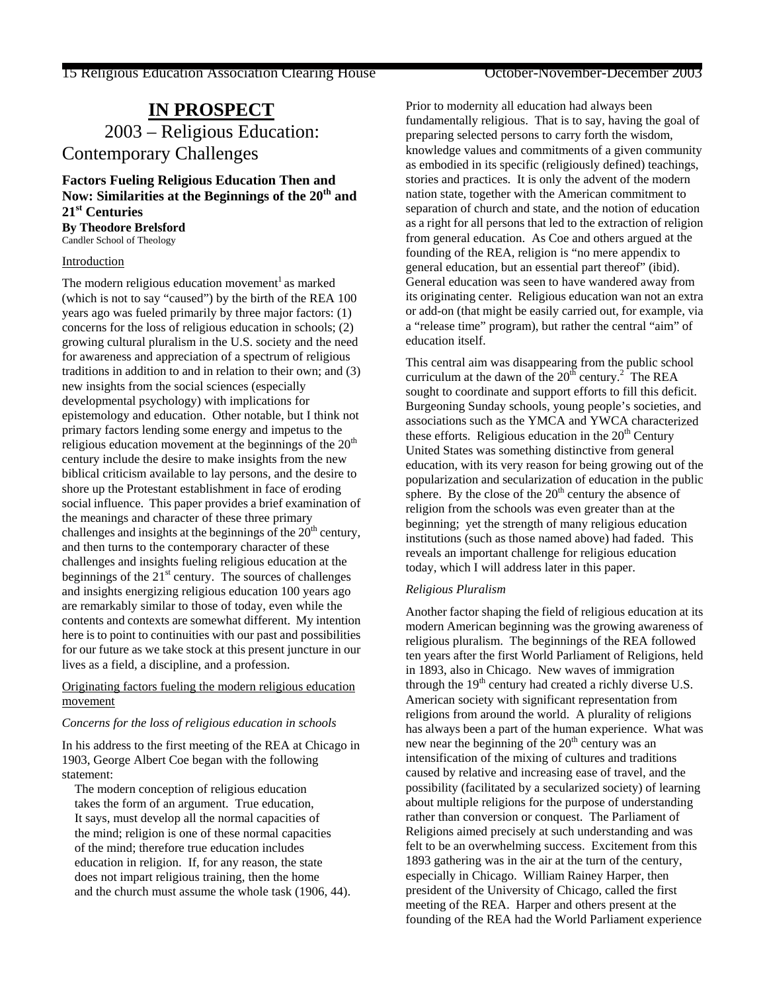## **IN PROSPECT** 2003 – Religious Education: Contemporary Challenges

**Factors Fueling Religious Education Then and**  Now: Similarities at the Beginnings of the  $20^{\text{th}}$  and **21st Centuries By Theodore Brelsford**

Candler School of Theology

#### **Introduction**

The modern religious education movement<sup>1</sup> as marked (which is not to say "caused") by the birth of the REA 100 concerns for the loss of religious education in schools; (2) traditions in addition to and in relation to their own; and (3) primary factors lending some energy and impetus to the shore up the Protestant establishment in face of eroding social influence. This paper provides a brief examination of challenges and insights at the beginnings of the  $20<sup>th</sup>$  century, beginnings of the  $21<sup>st</sup>$  century. The sources of challenges and insights energizing religious education 100 years ago are remarkably similar to those of today, even while the contents and contexts are somewhat different. My intention here is to point to continuities with our past and possibilities for our future as we take stock at this present juncture in our lives as a field, a discipline, and a profession. years ago was fueled primarily by three major factors: (1) growing cultural pluralism in the U.S. society and the need for awareness and appreciation of a spectrum of religious new insights from the social sciences (especially developmental psychology) with implications for epistemology and education. Other notable, but I think not religious education movement at the beginnings of the  $20<sup>th</sup>$ century include the desire to make insights from the new biblical criticism available to lay persons, and the desire to the meanings and character of these three primary and then turns to the contemporary character of these challenges and insights fueling religious education at the

#### Originating factors fueling the modern religious education movement

#### Concerns for the loss of religious education in schools

In his address to the first meeting of the REA at Chicago in 1903, George Albert Coe began with the following statement:

The modern conception of religious education of the mind; therefore true education includes education in religion. If, for any reason, the state does not impart religious training, then the home and the church must assume the whole task (1906, 44). takes the form of an argument. True education, It says, must develop all the normal capacities of the mind; religion is one of these normal capacities

 preparing selected persons to carry forth the wisdom, Prior to modernity all education had always been fundamentally religious. That is to say, having the goal of from general education. As Coe and others argued at the knowledge values and commitments of a given community as embodied in its specific (religiously defined) teachings, stories and practices. It is only the advent of the modern nation state, together with the American commitment to separation of church and state, and the notion of education as a right for all persons that led to the extraction of religion founding of the REA, religion is "no mere appendix to general education, but an essential part thereof" (ibid). General education was seen to have wandered away from its originating center. Religious education wan not an extra or add-on (that might be easily carried out, for example, via a "release time" program), but rather the central "aim" of education itself.

sought to coordinate and support efforts to fill this deficit. associations such as the YMCA and YWCA characterized religion from the schools was even greater than at the beginning; yet the strength of many religious education today, which I will address later in this paper. This central aim was disappearing from the public school curriculum at the dawn of the  $20^{th}$  century.<sup>2</sup> The REA Burgeoning Sunday schools, young people's societies, and these efforts. Religious education in the  $20<sup>th</sup>$  Century United States was something distinctive from general education, with its very reason for being growing out of the popularization and secularization of education in the public sphere. By the close of the  $20<sup>th</sup>$  century the absence of institutions (such as those named above) had faded. This reveals an important challenge for religious education

#### *Religious Pluralism*

modern American beginning was the growing awareness of religious pluralism. The beginnings of the REA followed ten years after the first World Parliament of Religions, held in 1893, also in Chicago. New waves of immigration through the  $19<sup>th</sup>$  century had created a richly diverse U.S. religions from around the world. A plurality of religions has always been a part of the human experience. What was caused by relative and increasing ease of travel, and the about multiple religions for the purpose of understanding president of the University of Chicago, called the first meeting of the REA. Harper and others present at the founding of the REA had the World Parliament experience Another factor shaping the field of religious education at its American society with significant representation from new near the beginning of the  $20<sup>th</sup>$  century was an intensification of the mixing of cultures and traditions possibility (facilitated by a secularized society) of learning rather than conversion or conquest. The Parliament of Religions aimed precisely at such understanding and was felt to be an overwhelming success. Excitement from this 1893 gathering was in the air at the turn of the century, especially in Chicago. William Rainey Harper, then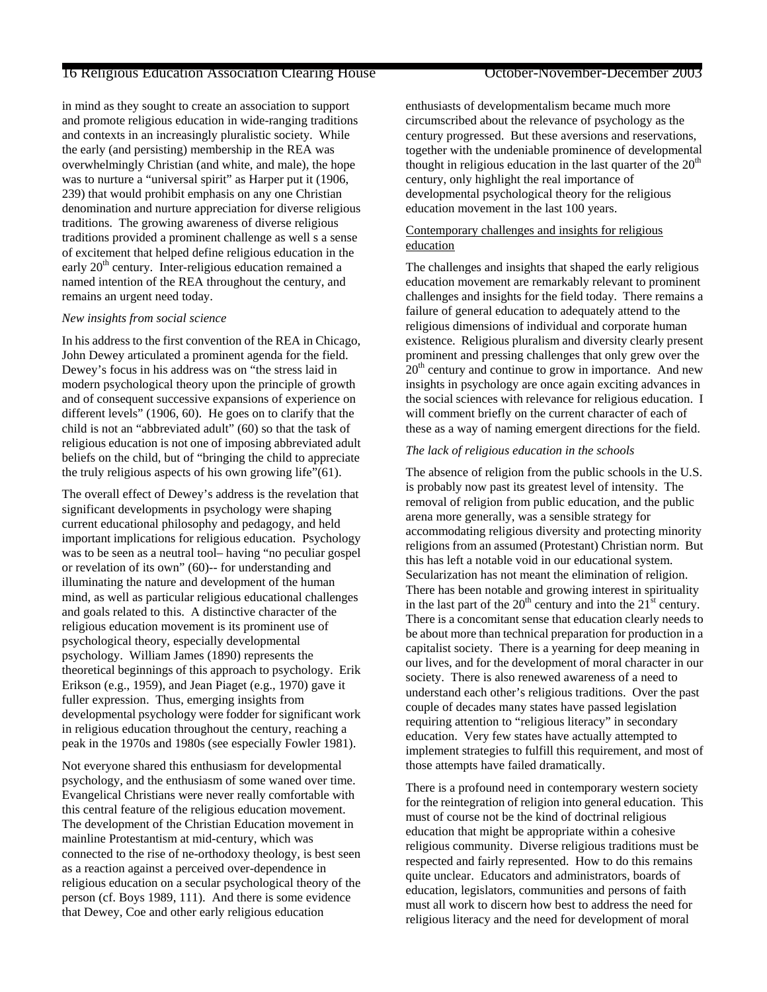in mind as they sought to create an association to support and promote religious education in wide-ranging tradition s and contexts in an increasingly pluralistic society. Whil e the early (and persisting) membership in the REA was overwhelmingly Christian (and white, and male), the hope was to nurture a "universal spirit" as Harper put it (1906, 239) that would prohibit emphasis on any one Christian denomination and nurture appreciation for diverse religious traditions. The gr owing awareness of diverse religious traditions provided a prominent challenge as well s a sense of excitement that helped define religious education in the early 20<sup>th</sup> century. Inter-religious education remained a named intention of the REA throughout the century, and remains an urgent need today.

#### *New insights from social science*

modern psychological theory upon the principle of growth and of consequent successive expansions of experience on the truly religious aspects of his own growing life" $(61)$ . In his address to the first convention of the REA in Chicago, John Dewey articulated a prominent agenda for the field. Dewey's focus in his address was on "the stress laid in different levels" (1906, 60). He goes on to clarify that the child is not an "abbreviated adult" (60) so that the task of religious education is not one of imposing abbreviated adult beliefs on the child, but of "bringing the child to appreciate

was to be seen as a neutral tool– having "no peculiar gospel mind, as well as particular religious educational challenges religious education movement is its prominent use of developmental psychology were fodder for significant work peak in the 1970s and 1980s (see especially Fowler 1981). The overall effect of Dewey's address is the revelation that significant developments in psychology were shaping current educational philosophy and pedagogy, and held important implications for religious education. Psychology or revelation of its own" (60)-- for understanding and illuminating the nature and development of the human and goals related to this. A distinctive character of the psychological theory, especially developmental psychology. William James (1890) represents the theoretical beginnings of this approach to psychology. Erik Erikson (e.g., 1959), and Jean Piaget (e.g., 1970) gave it fuller expression. Thus, emerging insights from in religious education throughout the century, reaching a

Not everyone shared this enthusiasm for developmental psychology, and the enthusiasm of some waned over time. person (cf. Boys 1989, 111). And there is some evidence that Dewey, Coe and other early religious education Evangelical Christians were never really comfortable with this central feature of the religious education movement. The development of the Christian Education movement in mainline Protestantism at mid-century, which was connected to the rise of ne-orthodoxy theology, is best seen as a reaction against a perceived over-dependence in religious education on a secular psychological theory of the

together with the undeniable prominence of developmental enthusiasts of developmentalism became much more circumscribed about the relevance of psychology as the century progressed. But these aversions and reservations, thought in religious education in the last quarter of the  $20<sup>th</sup>$ century, only highlight the real importance of developmental psychological theory for the religious education movement in the last 100 years.

#### Contemporary challenges and i education

The challenges and insights that shaped the early religious education movement are remarkably relevant to prominent challenges and insights for the field today. There remain s a failure of general education to adequately attend to the religious dimensions of individual and corporate human existence. Religious pluralism and diversity clearly present prominent and pressing challenges that only grew over the  $20<sup>th</sup>$  century and continue to grow in importance. And new insights in psychology are once again exciting advances in the social sciences with relevance for religious education. I will comment briefly on the current character of each of these as a way of naming emergent directions for the field.

#### *The lack of religious education in the schools*

removal of religion from public education, and the public religions from an assumed (Protestant) Christian norm. But Secularization has not meant the elimination of religion. understand each other's religious traditions. Over the past The absence of religion from the public schools in the U.S. is probably now past its greatest level of intensity. The arena more generally, was a sensible strategy for accommodating religious diversity and protecting minority this has left a notable void in our educational system. There has been notable and growing interest in spirituality in the last part of the  $20<sup>th</sup>$  century and into the  $21<sup>st</sup>$  century. There is a concomitant sense that education clearly needs to be about more than technical preparation for production in a capitalist society. There is a yearning for deep meaning in our lives, and for the development of moral character in our society. There is also renewed awareness of a need to couple of decades many states have passed legislation requiring attention to "religious literacy" in secondary education. Very few states have actually attempted to implement strategies to fulfill this requirement, and most of those attempts have failed dramatically.

religious community. Diverse religious traditions must be education, legislators, communities and persons of faith must all work to discern how best to address the need for religious literacy and the need for development of moral There is a profound need in contemporary western society for the reintegration of religion into general education. This must of course not be the kind of doctrinal religious education that might be appropriate within a cohesive respected and fairly represented. How to do this remains quite unclear. Educators and administrators, boards of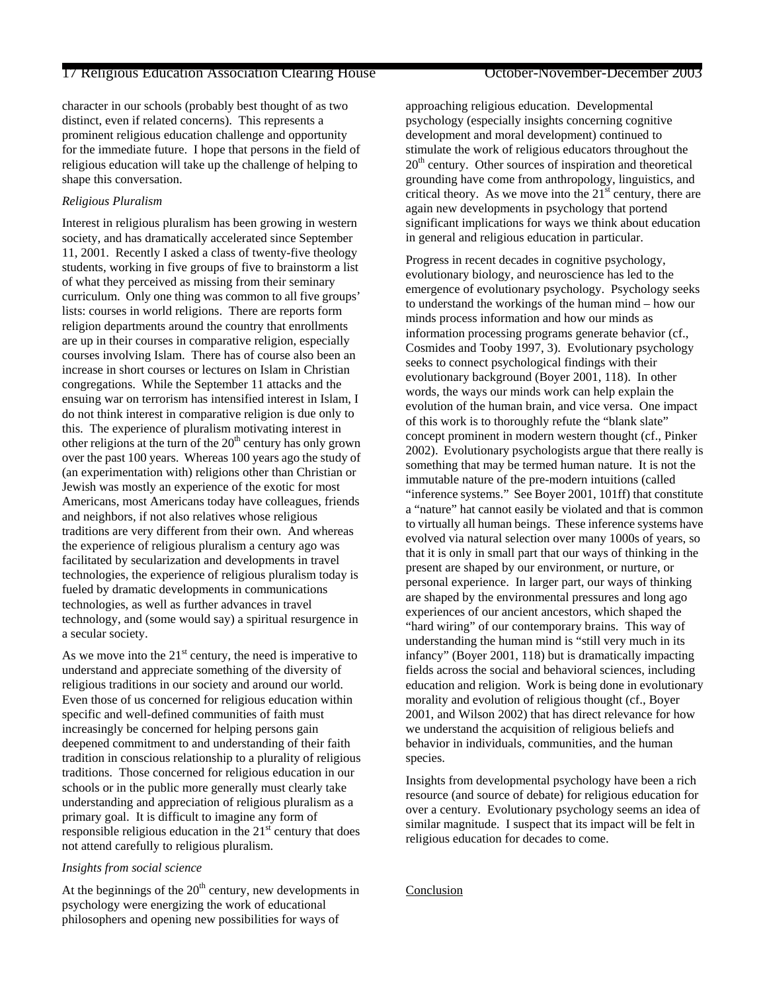character in our schools (probably best thought of as two distinct, even if related concerns). This represents a prominent religious education challenge and opportunity for the immediate future. I hope that persons i n the field of religious education will take up the challenge of helpin g to shape this conversation.

#### *Religious Pluralism*

Interest in religious pluralism has been growing in western curriculum. Only one thing was common to all five groups' do not think interest in comparative religion is due only to this. The experience of pluralism motivating interest in over the past 100 years. Whereas 100 years ago the study of Jewish was mostly an experience of the exotic for most traditions are very different from their own. And whereas society, and has dramatically accelerated since September 11, 2001. Recently I asked a class of twenty-five theology students, working in five groups of five to brainstorm a list of what they perceived as missing from their seminary lists: courses in world religions. There are reports form religion departments around the country that enrollments are up in their courses in comparative religion, especially courses involving Islam. There has of course also been an increase in short courses or lectures on Islam in Christian congregations. While the September 11 attacks and the ensuing war on terrorism has intensified interest in Islam, I other religions at the turn of the  $20<sup>th</sup>$  century has only grown (an experimentation with) religions other than Christian or Americans, most Americans today have colleagues, friends and neighbors, if not also relatives whose religious the experience of religious pluralism a century ago was facilitated by secularization and developments in travel technologies, the experience of religious pluralism today is fueled by dramatic developments in communications technologies, as well as further advances in travel technology, and (some would say) a spiritual resurgence in a secular society.

religious traditions in our society and around our world. Even those of us concerned for religious education within deepened commitment to and understanding of their faith schools or in the public more generally must clearly take understanding and appreciation of religious pluralism as a responsible religious education in the  $21<sup>st</sup>$  century that does As we move into the  $21<sup>st</sup>$  century, the need is imperative to understand and appreciate something of the diversity of specific and well-defined communities of faith must increasingly be concerned for helping persons gain tradition in conscious relationship to a plurality of religious traditions. Those concerned for religious education in our primary goal. It is difficult to imagine any form of not attend carefully to religious pluralism.

#### *Insights from social science*

At the beginnings of the  $20<sup>th</sup>$  century, new developments in psychology were energizing the work of educational philosophers and opening new possibilities for ways of

critical theory. As we move into the  $21<sup>st</sup>$  century, there are again new developments in psychology that portend significant implications for ways we think about education approaching religious education. Developmental psychology (especially insights concerning cognitive development and moral development) continued to stimulate the work of religious educators throughout the 20<sup>th</sup> century. Other sources of inspiration and theoretical grounding have come from anthropology, linguistics, and in general and religious education in particular.

infancy" (Boyer 2001, 118) but is dramatically impacting education and religion. Work is being done in evolutionary Progress in recent decades in cognitive psychology, evolutionary biology, and neuroscience has led to the emergence of evolutionary psychology. Psychology seeks to understand the workings of the human mind – how our minds process information and how our minds as information processing programs generate behavior (cf., Cosmides and Tooby 1997, 3). Evolutionary psychology seeks to connect psychological findings with their evolutionary background (Boyer 2001, 118). In other words, the ways our minds work can help explain the evolution of the human brain, and vice versa. One impact of this work is to thoroughly refute the "blank slate" concept prominent in modern western thought (cf., Pinker 2002). Evolutionary psychologists argue that there really is something that may be termed human nature. It is not the immutable nature of the pre-modern intuitions (called "inference systems." See Boyer 2001, 101ff) that constitute a "nature" hat cannot easily be violated and that is common to virtually all human beings. These inference systems have evolved via natural selection over many 1000s of years, so that it is only in small part that our ways of thinking in the present are shaped by our environment, or nurture, or personal experience. In larger part, our ways of thinking are shaped by the environmental pressures and long ago experiences of our ancient ancestors, which shaped the "hard wiring" of our contemporary brains. This way of understanding the human mind is "still very much in its fields across the social and behavioral sciences, including morality and evolution of religious thought (cf., Boyer 2001, and Wilson 2002) that has direct relevance for how we understand the acquisition of religious beliefs and behavior in individuals, communities, and the human species.

Insights from developmental psychology have been a rich resource (and source of debate) for religious education for over a century. Evolutionary psychology seems an idea of similar magnitude. I suspect that its impact will be felt in religious education for decades to come.

#### Conclusion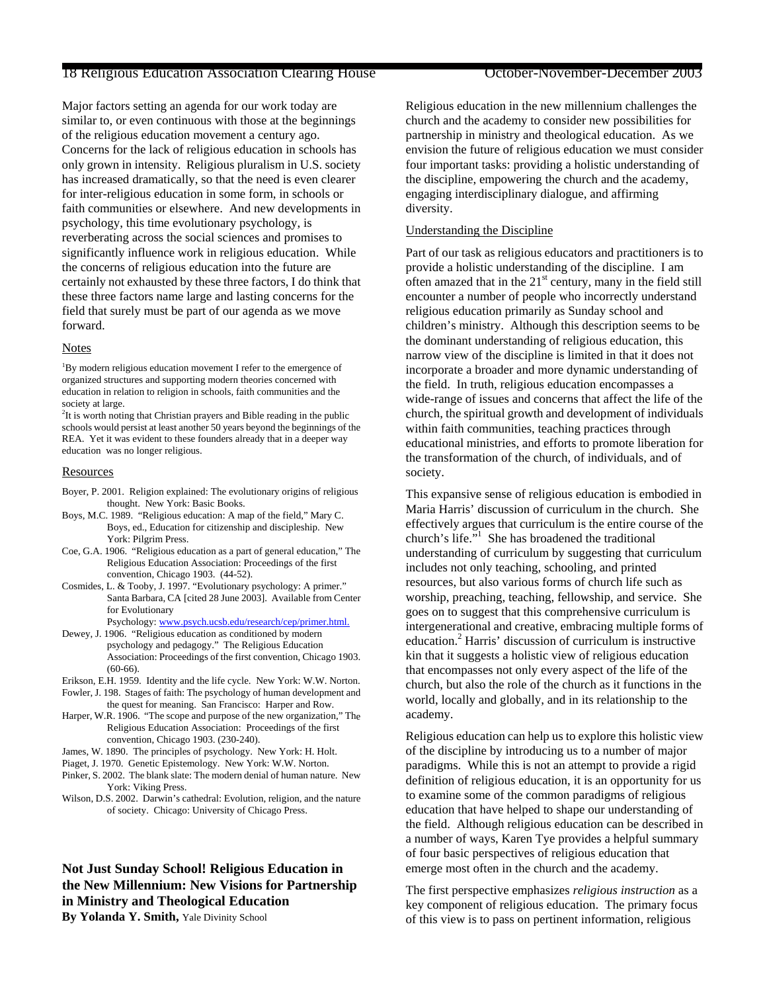Major factors setting an agenda for our work today are Concerns for the lack of religious education in schools has only grown in intensity. Religious pluralism in U.S. society has increased dramatically, so that the need is even clearer for inter-religious education in some form, in schools or faith communities or elsewhere. And new developments in field that surely must be part of our agenda as we move similar to, or even continuous with those at the beginnings of the religious education movement a century ago. psychology, this time evolutionary psychology, is reverberating across the social sciences and promises to significantly influence work in religious education. While the concerns of religious education into the future are certainly not exhausted by these three factors, I do think that these three factors name large and lasting concerns for the forward.

#### Notes

<sup>1</sup>By modern religious education movement I refer to the emergence of organized structures and supporting modern theories concerned with education in relation to religion in schools, faith communities and the society at large.

 $2$ It is worth noting that Christian prayers and Bible reading in the public schools would persist at least another 50 years beyond the beginn ings of the REA. Yet it was evident to these founders already that in a deeper w ay education was no longer religious.

#### Resources

- Boyer, P. 2001. Religion explained: The evolutionary origins of religious thought. New York: Basic Books.
- Boys, M.C. 1989. "Religious education: A map of the field," Mary C. Boys, ed., Education for citizenship and discipleship. New York: Pilgrim Press.
- Coe, G.A. 1906. "Religious education as a part of general education," The Religious Education Association: Proceedings of the first convention, Chicago 1903. (44-52).
- Cosmides, L. & Tooby, J. 1997. "Evolutionary psychology: A primer." Santa Barbara, CA [cited 28 June 2003]. Available from Center for Evolutionary
- Psychology: www.psych.ucsb.edu/research/cep/primer.html.
- Dewey, J. 1906. "Religious education as conditioned by modern psychology and pedagogy." The Religious Education Association: Proceedings of the first convention, Chicago 1903. (60-66).
- Erikson, E.H. 1959. Identity and the life cycle. New York: W.W. Nor ton.
- Fowler, J. 198. Stages of faith: The psychology of human development and the quest for meaning. San Francisco: Harper and Row.
- Harper, W.R. 1906. "The scope and purpose of the new organization," Th e Religious Education Association: Proceedings of the first convention, Chicago 1903. (230-240).
- James, W. 1890. The principles of psychology. New York: H. Holt.
- Piaget, J. 1970. Genetic Epistemology. New York: W.W. Norton.
- Pinker, S. 2002. The blank slate: The modern denial of human nature. New York: Viking Press.
- Wilson, D.S. 2002. Darwin's cathedral: Evolution, religion, and the nature of society. Chicago: University of Chicago Press.

## **in Ministry and Theological Education Not Just Sunday School! Religious Education in the New Millennium: New Visions for Partnership**

**By Yolanda Y. Smith,** Yale Divinity School

church and the academy to consider new possibilities for partnership in ministry and theological education. As we envision the future of religious education we must consider four important tasks: providing a holistic understanding of the discipline, empowering the church and the academy, Religious education in the new millennium challenges the engaging interdisciplinary dialogue, and affirming diversity.

#### Understanding the Discipline

Part of our task as religious educators and practitioners is to provide a holistic understanding of the discipline. I am often amazed that in the  $21<sup>st</sup>$  century, many in the field still encounter a number of people who incorrectly understand religious education primarily as Sunday school and children's ministry. Although this description seems to b e the dominant understanding of religious education, this narrow view of the discipline is limited in that it does n ot incorporate a broader and more dynamic understanding of the field. In truth, religious education encompasses a wide-range of issues and concerns that affect the life of t he hurch, th e spiritual growth and development of individuals c within faith communities, teaching practices through educational ministries, and efforts to promote liberation for the transformation of the church, of individuals, and of society.

This expansive sense of religious education is embodied in church's life."<sup>1</sup> She has broadened the traditional understanding of curriculum by suggesting that curriculum includes not only teaching, schooling, and printed worship, preaching, teaching, fellowship, and service. She intergenerational and creative, embracing multiple forms of kin that i t suggests a holistic view of religious education church, b ut also the role of the church as it functions in the world, locally and globally, and in its relationship to the Maria Harris' discussion of curriculum in the church. She effectively argues that curriculum is the entire course of the resources, but also various forms of church life such as goes on to suggest that this comprehensive curriculum is education.<sup>2</sup> Harris' discussion of curriculum is instructive that encompasses not only every aspect of the life of the academy.

Religious education can help us to explore this holistic view of the di scipline by introducing us to a number of major the field. Although religious education can be described in a number of ways, Karen Tye provides a helpful summary paradigms. While this is not an attempt to provide a rigid definition of religious education, it is an opportunity for us to examine some of the common paradigms of religious education that have helped to shape our understanding of of four basic perspectives of religious education that emerge most often in the church and the academy.

The first perspective emphasizes *religious instruction* as a key component of religious education. The primary focus of this view is to pass on pertinent information, religious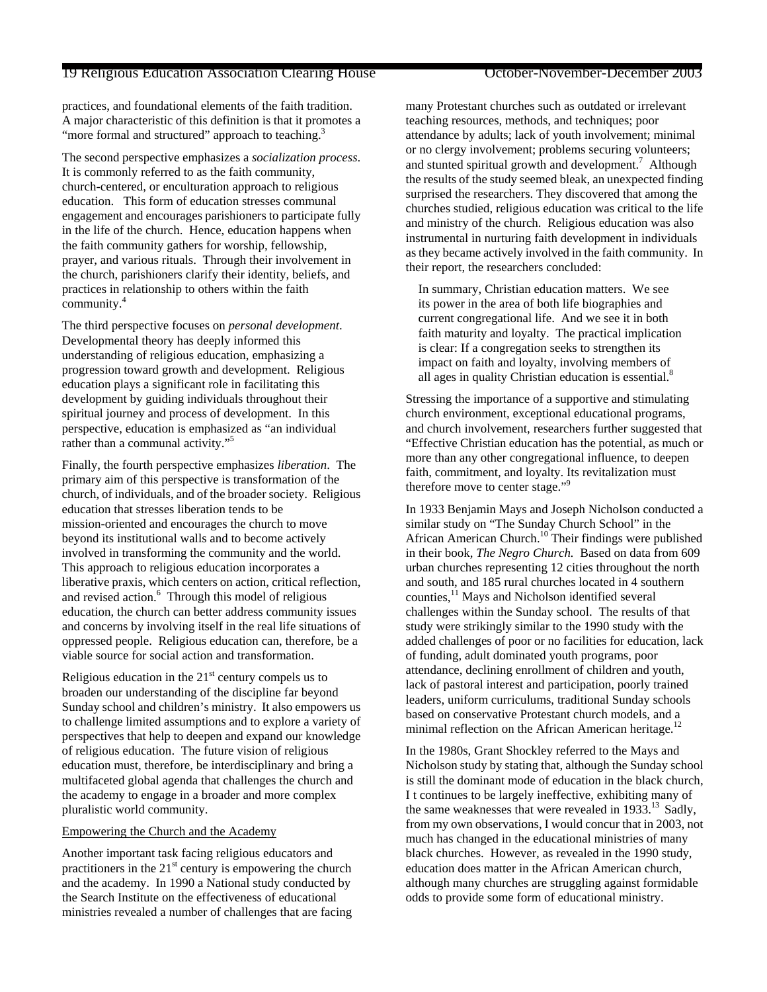practices, and foundational elements of the faith tradition. A major characteristic of this definition is that it promotes a "more formal and structured" approach to teaching.<sup>3</sup>

The second perspective emphasizes a *socialization process*. engagement and encourages parishioners to participate fully in the life of the church. Hence, education happens when It is commonly referred to as the faith community, church-centered, or enculturation approach to religious education. This form of education stresses communal the faith community gathers for worship, fellowship, prayer, and various rituals. Through their involvement in the church, parishioners clarify their identity, beliefs, and practices in relationship to others within the faith community.4

understanding of religious education, emphasizing a progression toward growth and development. Religious The third perspective focuses on *personal development*. Developmental theory has deeply informed this education plays a significant role in facilitating this development by guiding individuals throughout their spiritual journey and process of development. In this perspective, education is emphasized as "an individual rather than a communal activity."<sup>5</sup>

church, of individuals, and of the broader society. Religious education, the church can better address community issues Finally, the fourth perspective emphasizes *liberation*. The primary aim of this perspective is transformation of the education that stresses liberation tends to be mission-oriented and encourages the church to move beyond its institutional walls and to become actively involved in transforming the community and the world. This approach to religious education incorporates a liberative praxis, which centers on action, critical reflection, and revised action.<sup>6</sup> Through this model of religious and concerns by involving itself in the real life situations of oppressed people. Religious education can, therefore, be a viable source for social action and transformation.

Religious education in the  $21<sup>st</sup>$  century compels us to Sunday school and children's ministry. It also empowers us to challenge limited assumptions and to explore a variety of broaden our understanding of the discipline far beyond perspectives that help to deepen and expand our knowledge of religious education. The future vision of religious education must, therefore, be interdisciplinary and bring a multifaceted global agenda that challenges the church and the academy to engage in a broader and more complex pluralistic world community.

#### Empowering the Church and the Academy

Another important task facing religious educators and practitioners in the  $21<sup>st</sup>$  century is empowering the church and the academy. In 1990 a National study conducted by the Search Institute on the effectiveness of educational ministries revealed a number of challenges that are facing

many Protestant churches such as outdated or irrelevant teaching resources, methods, and techniques; poor attendance by adults; lack of youth involvement; minima l or no clergy involvement; problems securing volunteers; and stunted spiritual growth and development.<sup>7</sup> Although the results of the study seemed bleak, an unexpected finding surprised the researchers. They discovered that among the churches studied, religious education was critical to the life and ministry of the church. Religious education was also instrumental in nurturing faith development in individuals as they became actively involved in the faith community. In their report, the researchers concluded:

 In summary, Christian education matters. We see its power in the area of both life biographies and current congregational life. And we see it in both faith maturity and loyalty. The practical implication is clear: If a congregation seeks to strengthen its impact on faith and loyalty, involving members of all ages in quality Christian education is essential.<sup>8</sup>

"Effective Christian education has the potential, as much or more than any other congregational influence, to deepen faith, commitment, and loyalty. Its revitalization must Stressing the importance of a supportive and stimulating church environment, exceptional educational programs, and church involvement, researchers further suggested that therefore move to center stage."<sup>9</sup>

In 1933 Benjamin Mays and Joseph Nicholson conducted a African American Church.<sup>10</sup> Their findings were published in their book, *The Negro Church*. Based on data from 609 urban churches representing 12 cities throughout the north challenges within the Sunday school. The results of that leaders, uniform curriculums, traditional Sunday schools similar study on "The Sunday Church School" in the and south, and 185 rural churches located in 4 southern counties,<sup>11</sup> Mays and Nicholson identified several study were strikingly similar to the 1990 study with the added challenges of poor or no facilities for education, lack of funding, adult dominated youth programs, poor attendance, declining enrollment of children and youth, lack of pastoral interest and participation, poorly trained based on conservative Protestant church models, and a minimal reflection on the African American heritage.<sup>12</sup>

Nicholson study by stating that, although the Sunday school from my own observations, I would concur that in 2003, not black churches. However, as revealed in the 1990 study, odds to provide some form of educational ministry. In the 1980s, Grant Shockley referred to the Mays and is still the dominant mode of education in the black church, I t continues to be largely ineffective, exhibiting many of the same weaknesses that were revealed in  $1933$ .<sup>13</sup> Sadly, much has changed in the educational ministries of many education does matter in the African American church, although many churches are struggling against formidable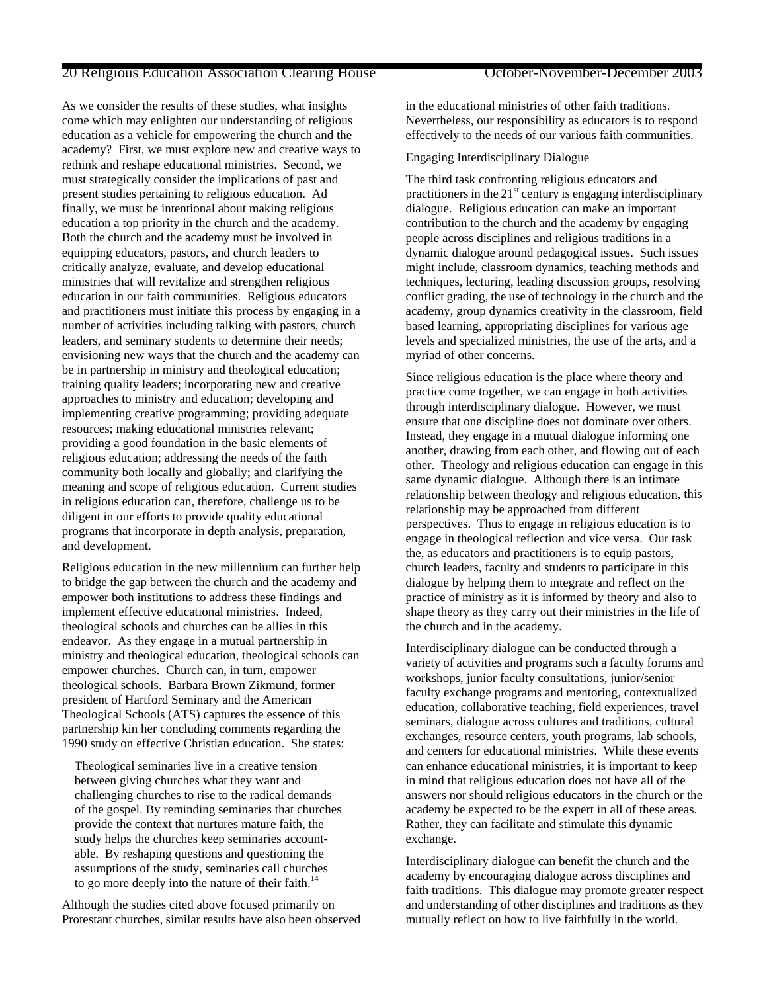As we consider the results of these studies, what insights come which may enlighten our understanding of religious education as a vehicle for empowering the church and the academy? First, we must explore new and creative ways to rethink and reshape educational ministries. Second, we must strategically consider the implications of past and present studies pertaining to re ligious education. Ad finally, we must be intentional about making religious education a top priority in the church and the academy. and practitioners must initiate this process by engaging in a number of activities including talking with pastors, church community both locally and globally; and clarifying the meaning and scope of religious education. Current studies in religious education can, therefore, challenge us to be Both the church and the academy must be involved in equipping educators, pastors, and church leaders to critically analyze, evaluate, and develop educational ministries that will revitalize and strengthen religious education in our faith communities. Religious educators leaders, and seminary students to determine their needs; envisioning new ways that the church and the academy can be in partnership in ministry and theological education; training quality leaders; incorporating new and creative approaches to ministry and education; developing and implementing creative programming; providing adequate resources; making educational ministries relevant; providing a good foundation in the basic elements of religious education; addressing the needs of the faith diligent in our efforts to provide quality educational programs that incorporate in depth analysis, preparation, and development.

Religious education in the new millennium can further help to bridge the gap between the church and the academy and president of Hartford Seminary and the American partnership kin her concluding comments regarding the empower both institutions to address these findings and implement effective educational ministries. Indeed, theological schools and churches can be allies in this endeavor. As they engage in a mutual partnership in ministry and theological education, theological schools can empower churches. Church can, in turn, empower theological schools. Barbara Brown Zikmund, former Theological Schools (ATS) captures the essence of this 1990 study on effective Christian education. She states:

 Theological seminaries live in a creative tension between giving churches what they want and challenging churches to rise to the radical demands of the gospel. By reminding seminaries that churches provide the context that nurtures mature faith, the study helps the churches keep seminaries account able. By reshaping questions and questioning the assumptions of the study, seminaries call churches to go more deeply into the nature of their faith.<sup>14</sup>

Although the studies cited above focused primarily on Protestant churches, similar results have also been observed

effectively to the needs of our various faith communities. in the educational ministries of other faith traditions. Nevertheless, our responsibility as educators is to respond

#### Engaging Interdisciplinary Dialogue

The third task confronting religious educators and practitioners in the  $21<sup>st</sup>$  century is engaging interdisciplinary dialogue. Religious education can make an important contribution to the church and the academy by engaging people across disciplines and religious traditions in a dynamic dialogue around pedagogical issues. Such issues might include, classroom dynamics, teaching methods and techniques, lecturing, leading discussion groups, resolving conflict grading, the use of technology in the church and the academy, group dynamics creativity in the classroom, field based learning, appropriating disciplines for various age levels and specialized ministries, the use of the arts, and a myriad of other concerns.

ensure that one discipline does not dominate over others. Instead, they engage in a mutual dialogue informing one another, drawing from each other, and flowing out of each other. Theology and religious education can engage in this relationship between theology and religious education, this shape theory as they carry out their ministries in the life of Since religious education is the place where theory and practice come together, we can engage in both activities through interdisciplinary dialogue. However, we must same dynamic dialogue. Although there is an intimate relationship may be approached from different perspectives. Thus to engage in religious education is to engage in theological reflection and vice versa. Our task the, as educators and practitioners is to equip pastors, church leaders, faculty and students to participate in this dialogue by helping them to integrate and reflect on the practice of ministry as it is informed by theory and also to the church and in the academy.

variety of activities and programs such a faculty forums and faculty exchange programs and mentoring, contextualized education, collaborative teaching, field experiences, travel exchanges, resource centers, youth programs, lab schools, and centers for educational ministries. While these events in mind that religious education does not have all of the Interdisciplinary dialogue can be conducted through a workshops, junior faculty consultations, junior/senior seminars, dialogue across cultures and traditions, cultural can enhance educational ministries, it is important to keep answers nor should religious educators in the church or the academy be expected to be the expert in all of these areas. Rather, they can facilitate and stimulate this dynamic exchange.

Interdisciplinary dialogue can benefit the church and the academy by encouraging dialogue across disciplines and faith traditions. This dialogue may promote greater respect and understanding of other disciplines and traditions as they mutually reflect on how to live faithfully in the world.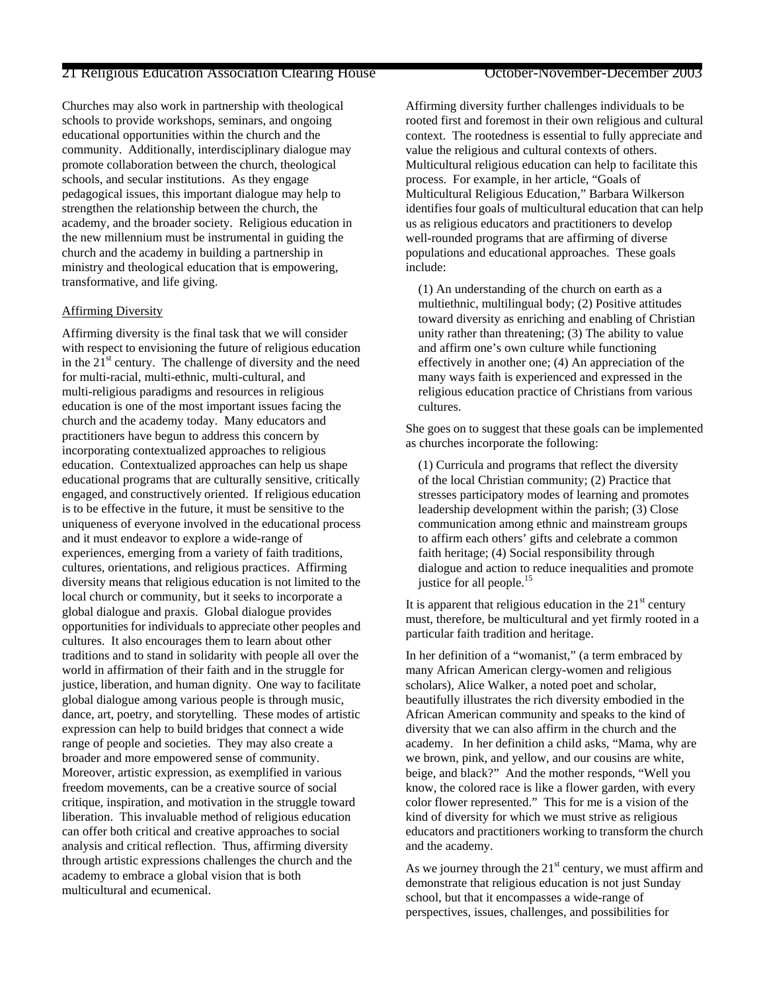Churches may also work in partnership with theological schools to provide workshops, seminars, and ongoing educational opportunities within the church and the community. Additionally, interdisciplinary dialogu e may promote collaboration between the church, theological schools, and secular institutions. As they engage pedagogical issues, this important dialogue may help to academy, and the broader society. Religious education in the new millennium must be instrumental in guiding the strengthen the relationship between the church, the church and the academy in building a partnership in ministry and theological education that is empowering, transformative, and life giving.

#### Affirming Diversity

Affirming diversity is the final task that we will consider with respect to envisioning the future of religious education practitioners have begun to address this concern by incorporating contextualized approaches to religious cultures. It also encourages them to learn about other traditions and to stand in solidarity with people all over the justice, liberation, and human dignity. One way to facilitate dance, art, poetry, and storytelling. These modes of artistic liberation. This invaluable method of religious education multicultural and ecumenical. in the  $21<sup>st</sup>$  century. The challenge of diversity and the need for multi-racial, multi-ethnic, multi-cultural, and multi-religious paradigms and resources in religious education is one of the most important issues facing the church and the academy today. Many educators and education. Contextualized approaches can help us shape educational programs that are culturally sensitive, critically engaged, and constructively oriented. If religious education is to be effective in the future, it must be sensitive to the uniqueness of everyone involved in the educational process and it must endeavor to explore a wide-range of experiences, emerging from a variety of faith traditions, cultures, orientations, and religious practices. Affirming diversity means that religious education is not limited to the local church or community, but it seeks to incorporate a global dialogue and praxis. Global dialogue provides opportunities for individuals to appreciate other peoples and world in affirmation of their faith and in the struggle for global dialogue among various people is through music, expression can help to build bridges that connect a wide range of people and societies. They may also create a broader and more empowered sense of community. Moreover, artistic expression, as exemplified in various freedom movements, can be a creative source of social critique, inspiration, and motivation in the struggle toward can offer both critical and creative approaches to social analysis and critical reflection. Thus, affirming diversity through artistic expressions challenges the church and the academy to embrace a global vision that is both

rooted first and foremost in their own religious and cultural context. The rootedness is essential to fully appreciate and Affirming diversity further challenges individuals to be value the religious and cultural contexts of others. Multicultural religious education can help to facilitate this process. For example, in her article, "Goals of Multicultural Religious Education," Barbara Wilkerson identifies four goals of multicultural education that can help us as religious educators and practitioners to develop well-rounded programs that are affirming of diverse populations and educational approaches. These goals include:

toward diversity as enriching and enabling of Christian unity rather than threatening;  $(3)$  The ability to value (1) An understanding of the church on earth as a multiethnic, multilingual body; (2) Positive attitudes and affirm one's own culture while functioning effectively in another one; (4) An appreciation of the many ways faith is experienced and expressed in the religious education practice of Christians from various cultures.

She goes on to suggest that these goals can be implemented as churches incorporate the following:

 (1) Curricula and programs that reflect the diversity of the local Christian community; (2) Practice that stresses participatory modes of learning and promotes leadership development within the parish; (3) Close communication among ethnic and mainstream groups to affirm each others' gifts and celebrate a common faith heritage; (4) Social responsibility through dialogue and action to reduce inequalities and promote justice for all people.<sup>15</sup>

It is apparent that religious education in the  $21<sup>st</sup>$  century must, therefore, be multicultural and yet firmly rooted in a particular faith tradition and heritage.

beautifully illustrates the rich diversity embodied in the African American community and speaks to the kind of academy. In her definition a child asks, "Mama, why are we brown, pink, and yellow, and our cousins are white, beige, and black?" And the mother responds, "Well you In her definition of a "womanist," (a term embraced by many African American clergy-women and religious scholars), Alice Walker, a noted poet and scholar, diversity that we can also affirm in the church and the know, the colored race is like a flower garden, with every color flower represented." This for me is a vision of the kind of diversity for which we must strive as religious educators and practitioners working to transform the church and the academy.

As we journey through the  $21^{st}$  century, we must affirm and school, but that it encompasses a wide-range of perspectives, issues, challenges, and possibilities for demonstrate that religious education is not just Sunday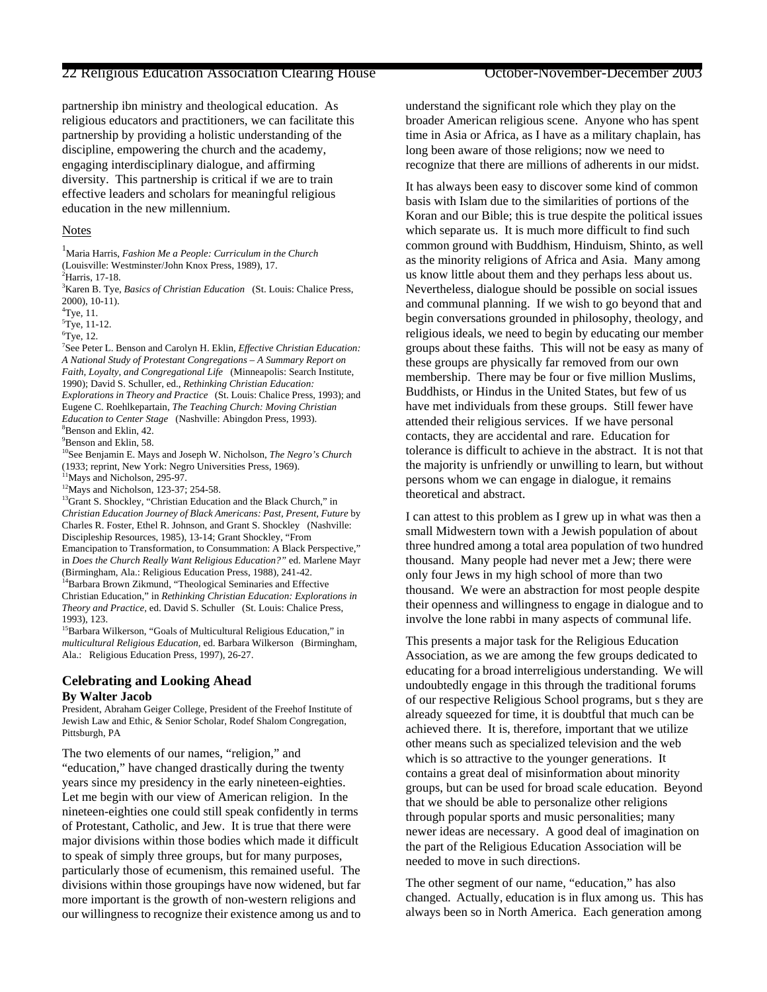partnership ibn ministry and theological education. As religious educators and practitioners, we can facilitate this partnership by providing a holistic understanding of the discipline, empowering the church and the academy, engaging interdisciplinary dialogue, and affirming diversity. This partnership is critical if we are to train effective leaders and scholars for meaningful religious education in the new millennium.

#### Notes

1 Maria Harris, *Fashion Me a People: Curriculum in the Church* (Louisville: Westminster/John Knox Press, 1989), 17. 2  ${}^{2}$ Harris, 17-18.

<sup>3</sup>Karen B. Tye, *Basics of Christian Education* (St. Louis: Chalice Press, 2000), 10-11).

4 Tye, 11.

5 Tye, 11-12.

6 Tye, 12.

7 See Peter L. Benson and Carolyn H. Eklin, *Effective Christian Education: A National Study of Protestant Congregations – A Summary Report on*  Faith, Loyalty, and Congregational Life (Minneapolis: Search Institute, 1990); David S. Schuller, ed., *Rethinking Christian Education: Explorations in Theory and Practice* (St. Louis: Chalice Press, 1993); and Eugene C. Roehlkepartain, *The Teaching Church: Moving Christian Education to Center Stage* (Nashville: Abingdon Press, 1993). 8 Benson and Eklin, 42.

9 Benson and Eklin, 58.

10See Benjamin E. Mays and Joseph W. Nicholson, *The Negro's Church*  (1933; reprint, New York: Negro Universities Press, 1969). 11Mays and Nicholson, 295-97.

<sup>12</sup>Mays and Nicholson, 123-37; 254-58.

*xplorations in*  Christian Education," in *Rethinking Christian Education: E* Theory and Practice, ed. David S. Schuller (St. Louis: Chalice Press, <sup>13</sup>Grant S. Shockley, "Christian Education and the Black Church," in *Christian Education Journey of Black Americans: Past, Present, Future* by Charles R. Foster, Ethel R. Johnson, and Grant S. Shockley (Nashville: Discipleship Resources, 1985), 13-14; Grant Shockley, "From Emancipation to Transformation, to Consummation: A Black Perspective," in *Does the Church Really Want Religious Education?"* ed. Marlene Mayr (Birmingham, Ala.: Religious Education Press, 1988), 241-42. <sup>14</sup>Barbara Brown Zikmund, "Theological Seminaries and Effective 1993), 123.

<sup>15</sup>Barbara Wilkerson, "Goals of Multicultural Religious Education," in *multicultural Religious Education,* ed. Barbara Wilkerson (Birmingham, Ala.: Religious Education Press, 1997), 26-27.

#### **Celebrating and Looking Ahead By Walter Jacob**

President, Abraham Geiger College, President of the Freehof Institute of Jewish Law and Ethic, & Senior Scholar, Rodef Shalom Congregation, Pittsburgh, PA

years since my presidency in the early nineteen-eighties. Let me begin with our view of American religion. In the nineteen-eighties one could still speak confidently in terms major divisions within those bodies which made it difficult particularly those of ecumenism, this remained useful. The divisions within those groupings have now widened, but far more important is the growth of non-western religions and our willingness to recognize their existence among us and to The two elements of our names, "religion," and "education," have changed drastically during the twenty of Protestant, Catholic, and Jew. It is true that there were to speak of simply three groups, but for many purposes,

understand the significant role which they play on the time in Asia or Africa, as I have as a military chaplain, has broader American religious scene. Anyone who has spent long been aware of those religions; now we need to recognize that there are millions of adherents in our midst.

It has always been easy to discover some kind of common Koran and our Bible; this is true despite the political issues which separate us. It is much more difficult to find such common ground with Buddhism, Hinduism, Shinto, as well as the minority religions of Africa and Asia. Many among us know little about them and they perhaps less about us. begin conversations grounded in philosophy, theology, and have met individuals from these groups. Still fewer have tolerance is difficult to achieve in the abstract. It is not that the majority is unfriendly or unwilling to learn, but without basis with Islam due to the similarities of portions of the Nevertheless, dialogue should be possible on social issues and communal planning. If we wish to go beyond that and religious ideals, we need to begin by educating our member groups about these faiths. This will not be easy as many of these groups are physically far removed from our own membership. There may be four or five million Muslims, Buddhists, or Hindus in the United States, but few of us attended their religious services. If we have personal contacts, they are accidental and rare. Education for persons whom we can engage in dialogue, it remains theoretical and abstract.

I can attest to this problem as I grew up in what was then a small Midwestern town with a Jewish population of about three hundred among a total area population of two hundred thousand. Many people had never met a Jew; there were thousand. We were an abstraction for most people despite their openness and willingness to engage in dialogue and to involve the lone rabbi in many aspects of communal life. only four Jews in my high school of more than two

This presents a major task for the Religious Education undoubtedly engage in this through the traditional forums of our respective Religious School programs, but s they are which is so attractive to the younger generations. It through popular sports and music personalities; many the part of the Religious Education Association will be needed to move in such directions. Association, as we are among the few groups dedicated to educating for a broad interreligious understanding. We will already squeezed for time, it is doubtful that much can be achieved there. It is, therefore, important that we utilize other means such as specialized television and the web contains a great deal of misinformation about minority groups, but can be used for broad scale education. Beyond that we should be able to personalize other religions newer ideas are necessary. A good deal of imagination on

The other segment of our name, "education," has also changed. Actually, education is in flux among us. This has always been so in North America. Each generation among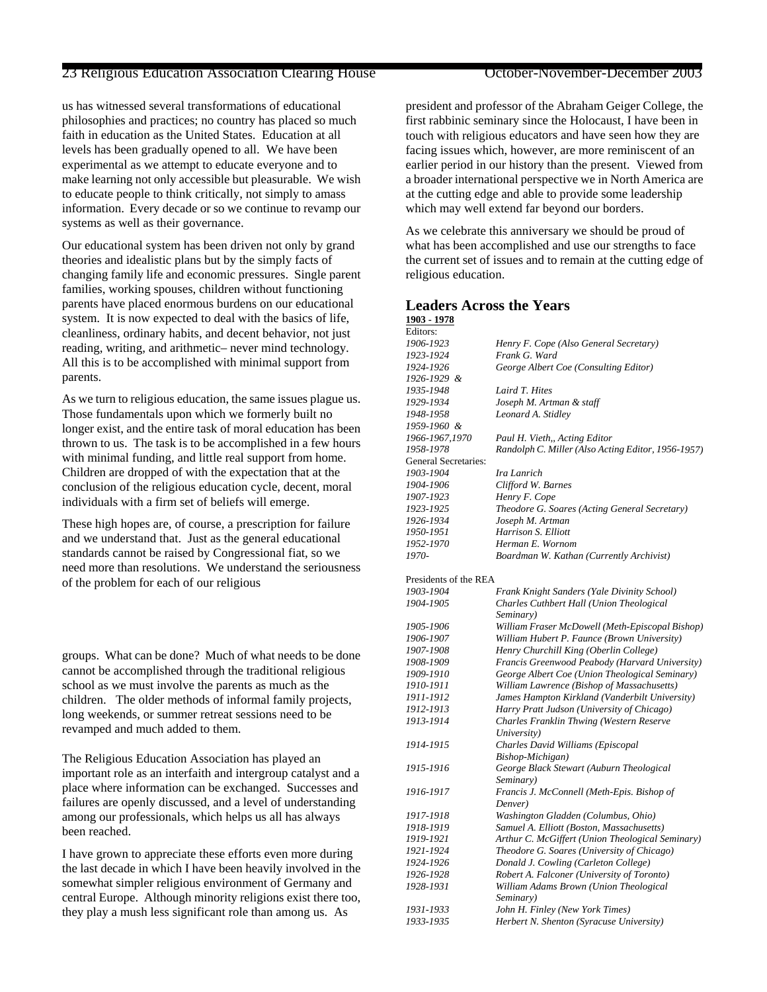us has witnessed several transformations of educational philosophies and practices; no country has placed so much faith in education as the United States. Education at all levels has been gradually opened to all. We have been experimental as we attempt to educate everyone and to make learning not only accessible but pleasurable. We wish to educate people to think critically, not simply to amass information. Every decade or so we continue to revamp o ur systems as well as their governance.

theories and idealistic plans but by the simply facts of changing family life and economic pressures. Single parent families, working spouses, children without functioning reading, writing, and arithmetic– never mind technology. Our educational system has been driven not only by grand parents have placed enormous burdens on our educational system. It is now expected to deal with the basics of life, cleanliness, ordinary habits, and decent behavior, not just All this is to be accomplished with minimal support from parents.

As we turn to religious education, the same issues plague us. Those fundamentals upon which we formerly built no longer exist, and the entire task of moral education has been thrown to us. The task is to be accomplished in a few hours with minimal funding, and little real support from home. Children are dropped of with the expectation that at the conclusion of the religious education cycle, decent, moral individuals with a firm set of beliefs will emerge.

These high hopes are, of course, a prescription for failure and we understand that. Just as the general educational standards cannot be raised by Congressional fiat, so we need more than resolutions. We understand the seriousness of the problem for each of our religious

groups. What can be done? Much of what needs to be done cannot be accomplished through the traditional religious school as we must involve the parents as much as the children. The older methods of informal family projects, long weekends, or summer retreat sessions need to be revamped and much added to them.

place where information can be exchanged. Successes and The Religious Education Association has played an important role as an interfaith and intergroup catalyst and a failures are openly discussed, and a level of understanding among our professionals, which helps us all has always been reached.

I have grown to appreciate these efforts even more during central Europe. Although minority religions exist there too, they play a mush less significant role than among us. As the last decade in which I have been heavily involved in the somewhat simpler religious environment of Germany and

first rabbinic seminary since the Holocaust, I have been in touch with religious educators and have seen how they are president and professor of the Abraham Geiger College, the facing issues which, however, are more reminiscent of an earlier period in our history than the present. Viewed from a broader international perspective we in North America are at the cutting edge and able to provide some leadership which may well extend far beyond our borders.

the current set of issues and to remain at the cutting edge of As we celebrate this anniversary we should be proud of what has been accomplished and use our strengths to face religious education.

## **Leaders Across the Years**

| 1903 - 1978                 |                                                    |
|-----------------------------|----------------------------------------------------|
| Editors:                    |                                                    |
| 1906-1923                   | Henry F. Cope (Also General Secretary)             |
| 1923-1924                   | Frank G. Ward                                      |
| 1924-1926                   | George Albert Coe (Consulting Editor)              |
| 1926-1929 &                 |                                                    |
| 1935-1948                   | Laird T. Hites                                     |
| 1929-1934                   | Joseph M. Artman & staff                           |
| 1948-1958                   | Leonard A. Stidley                                 |
| 1959-1960 &                 |                                                    |
| 1966-1967,1970              | Paul H. Vieth,, Acting Editor                      |
| 1958-1978                   | Randolph C. Miller (Also Acting Editor, 1956-1957) |
| <b>General Secretaries:</b> |                                                    |
| 1903-1904                   | Ira Lanrich                                        |
| 1904-1906                   | Clifford W. Barnes                                 |
| 1907-1923                   | Henry F. Cope                                      |
| 1923-1925                   | Theodore G. Soares (Acting General Secretary)      |
| 1926-1934                   | Joseph M. Artman                                   |
| 1950-1951                   | Harrison S. Elliott                                |
| 1952-1970                   | Herman E. Wornom                                   |
| 1970-                       | Boardman W. Kathan (Currently Archivist)           |
|                             |                                                    |
| Presidents of the REA       |                                                    |
| 1903-1904                   | Frank Knight Sanders (Yale Divinity School)        |
| 1904-1905                   | Charles Cuthbert Hall (Union Theological           |
|                             | Seminary)                                          |
| 1905-1906                   | William Fraser McDowell (Meth-Episcopal Bishop)    |
| 1906-1907                   | William Hubert P. Faunce (Brown University)        |
| 1907-1908                   | Henry Churchill King (Oberlin College)             |
| 1908-1909                   | Francis Greenwood Peabody (Harvard University)     |
| 1909-1910                   | George Albert Coe (Union Theological Seminary)     |
| 1910-1911                   | William Lawrence (Bishop of Massachusetts)         |
| 1911-1912                   | James Hampton Kirkland (Vanderbilt University)     |
| 1912-1913                   | Harry Pratt Judson (University of Chicago)         |
| 1913-1914                   | Charles Franklin Thwing (Western Reserve           |
|                             | University)                                        |
| 1914-1915                   | Charles David Williams (Episcopal                  |
|                             | Bishop-Michigan)                                   |
| 1915-1916                   | George Black Stewart (Auburn Theological           |
|                             | Seminary)                                          |
| 1916-1917                   | Francis J. McConnell (Meth-Epis. Bishop of         |
|                             | Denver)                                            |
| 1917-1918                   | Washington Gladden (Columbus, Ohio)                |
| 1918-1919                   | Samuel A. Elliott (Boston, Massachusetts)          |
| 1919-1921                   | Arthur C. McGiffert (Union Theological Seminary)   |
| 1921-1924                   | Theodore G. Soares (University of Chicago)         |
| 1924-1926                   | Donald J. Cowling (Carleton College)               |
| 1926-1928                   | Robert A. Falconer (University of Toronto)         |
| 1928-1931                   | William Adams Brown (Union Theological             |
|                             | Seminary)                                          |
| 1931-1933                   | John H. Finley (New York Times)                    |
| 1933-1935                   | Herbert N. Shenton (Syracuse University)           |
|                             |                                                    |